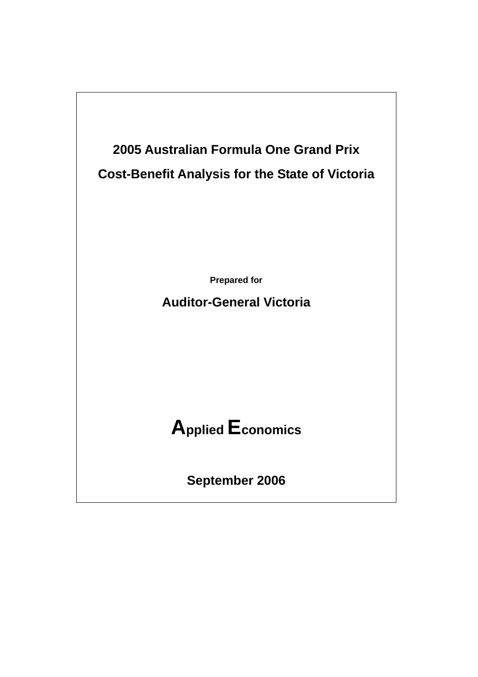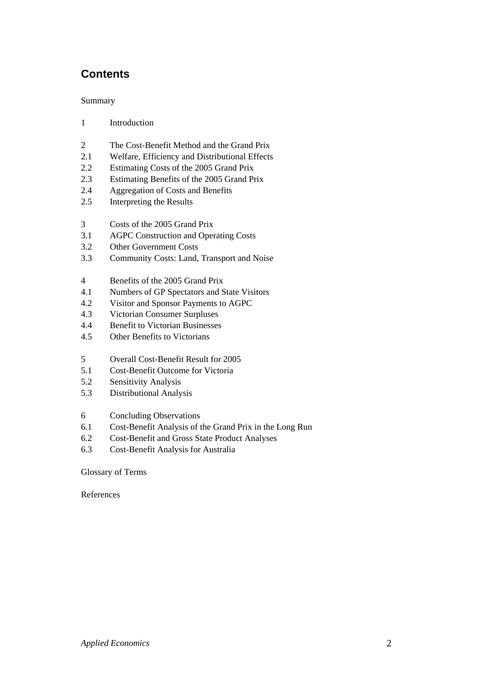# **Contents**

#### Summary

- 1 Introduction
- 2 The Cost-Benefit Method and the Grand Prix
- 2.1 Welfare, Efficiency and Distributional Effects
- 2.2 Estimating Costs of the 2005 Grand Prix
- 2.3 Estimating Benefits of the 2005 Grand Prix
- 2.4 Aggregation of Costs and Benefits
- 2.5 Interpreting the Results
- 3 Costs of the 2005 Grand Prix
- 3.1 AGPC Construction and Operating Costs
- 3.2 Other Government Costs
- 3.3 Community Costs: Land, Transport and Noise
- 4 Benefits of the 2005 Grand Prix
- 4.1 Numbers of GP Spectators and State Visitors
- 4.2 Visitor and Sponsor Payments to AGPC
- 4.3 Victorian Consumer Surpluses
- 4.4 Benefit to Victorian Businesses
- 4.5 Other Benefits to Victorians
- 5 Overall Cost-Benefit Result for 2005
- 5.1 Cost-Benefit Outcome for Victoria
- 5.2 Sensitivity Analysis
- 5.3 Distributional Analysis
- 6 Concluding Observations
- 6.1 Cost-Benefit Analysis of the Grand Prix in the Long Run
- 6.2 Cost-Benefit and Gross State Product Analyses
- 6.3 Cost-Benefit Analysis for Australia

#### Glossary of Terms

References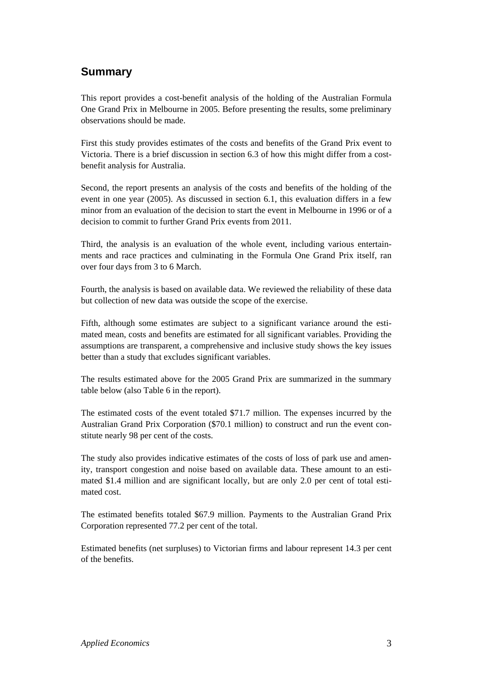# **Summary**

This report provides a cost-benefit analysis of the holding of the Australian Formula One Grand Prix in Melbourne in 2005. Before presenting the results, some preliminary observations should be made.

First this study provides estimates of the costs and benefits of the Grand Prix event to Victoria. There is a brief discussion in section 6.3 of how this might differ from a costbenefit analysis for Australia.

Second, the report presents an analysis of the costs and benefits of the holding of the event in one year (2005). As discussed in section 6.1, this evaluation differs in a few minor from an evaluation of the decision to start the event in Melbourne in 1996 or of a decision to commit to further Grand Prix events from 2011.

Third, the analysis is an evaluation of the whole event, including various entertainments and race practices and culminating in the Formula One Grand Prix itself, ran over four days from 3 to 6 March.

Fourth, the analysis is based on available data. We reviewed the reliability of these data but collection of new data was outside the scope of the exercise.

Fifth, although some estimates are subject to a significant variance around the estimated mean, costs and benefits are estimated for all significant variables. Providing the assumptions are transparent, a comprehensive and inclusive study shows the key issues better than a study that excludes significant variables.

The results estimated above for the 2005 Grand Prix are summarized in the summary table below (also Table 6 in the report).

The estimated costs of the event totaled \$71.7 million. The expenses incurred by the Australian Grand Prix Corporation (\$70.1 million) to construct and run the event constitute nearly 98 per cent of the costs.

The study also provides indicative estimates of the costs of loss of park use and amenity, transport congestion and noise based on available data. These amount to an estimated \$1.4 million and are significant locally, but are only 2.0 per cent of total estimated cost.

The estimated benefits totaled \$67.9 million. Payments to the Australian Grand Prix Corporation represented 77.2 per cent of the total.

Estimated benefits (net surpluses) to Victorian firms and labour represent 14.3 per cent of the benefits.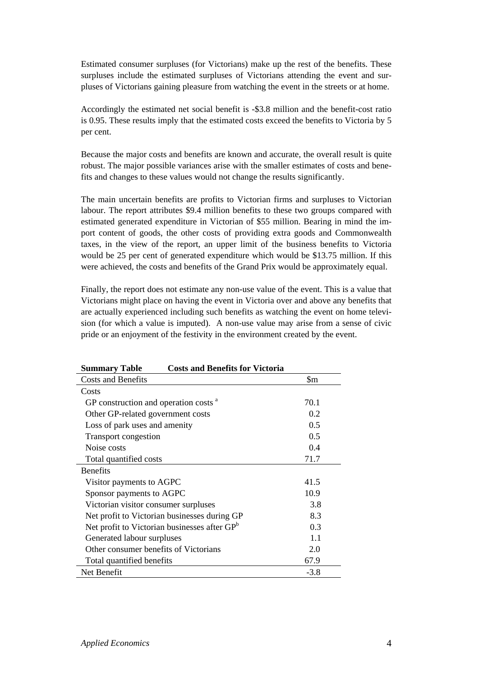Estimated consumer surpluses (for Victorians) make up the rest of the benefits. These surpluses include the estimated surpluses of Victorians attending the event and surpluses of Victorians gaining pleasure from watching the event in the streets or at home.

Accordingly the estimated net social benefit is -\$3.8 million and the benefit-cost ratio is 0.95. These results imply that the estimated costs exceed the benefits to Victoria by 5 per cent.

Because the major costs and benefits are known and accurate, the overall result is quite robust. The major possible variances arise with the smaller estimates of costs and benefits and changes to these values would not change the results significantly.

The main uncertain benefits are profits to Victorian firms and surpluses to Victorian labour. The report attributes \$9.4 million benefits to these two groups compared with estimated generated expenditure in Victorian of \$55 million. Bearing in mind the import content of goods, the other costs of providing extra goods and Commonwealth taxes, in the view of the report, an upper limit of the business benefits to Victoria would be 25 per cent of generated expenditure which would be \$13.75 million. If this were achieved, the costs and benefits of the Grand Prix would be approximately equal.

Finally, the report does not estimate any non-use value of the event. This is a value that Victorians might place on having the event in Victoria over and above any benefits that are actually experienced including such benefits as watching the event on home television (for which a value is imputed). A non-use value may arise from a sense of civic pride or an enjoyment of the festivity in the environment created by the event.

| <b>Costs and Benefits for Victoria</b><br><b>Summary Table</b> |        |
|----------------------------------------------------------------|--------|
| <b>Costs and Benefits</b>                                      | \$m    |
| Costs                                                          |        |
| GP construction and operation costs <sup>a</sup>               | 70.1   |
| Other GP-related government costs                              | 0.2    |
| Loss of park uses and amenity                                  | 0.5    |
| Transport congestion                                           | 0.5    |
| Noise costs                                                    | 0.4    |
| Total quantified costs                                         | 71.7   |
| <b>Benefits</b>                                                |        |
| Visitor payments to AGPC                                       | 41.5   |
| Sponsor payments to AGPC                                       | 10.9   |
| Victorian visitor consumer surpluses                           | 3.8    |
| Net profit to Victorian businesses during GP                   | 8.3    |
| Net profit to Victorian businesses after GP <sup>b</sup>       | 0.3    |
| Generated labour surpluses                                     | 1.1    |
| Other consumer benefits of Victorians                          | 2.0    |
| Total quantified benefits                                      | 67.9   |
| Net Benefit                                                    | $-3.8$ |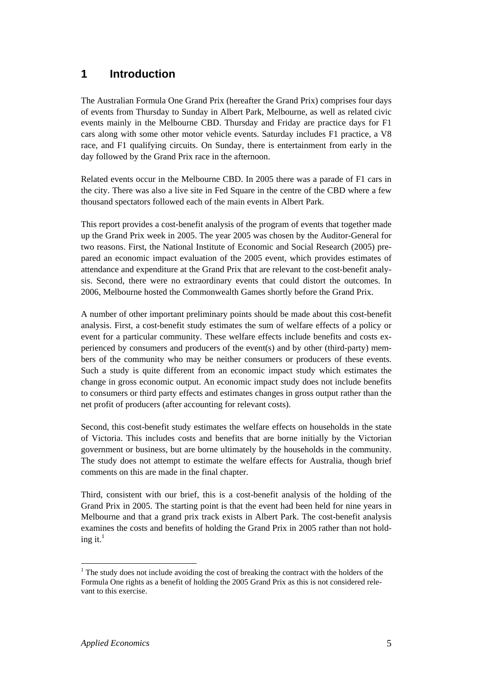# **1 Introduction**

The Australian Formula One Grand Prix (hereafter the Grand Prix) comprises four days of events from Thursday to Sunday in Albert Park, Melbourne, as well as related civic events mainly in the Melbourne CBD. Thursday and Friday are practice days for F1 cars along with some other motor vehicle events. Saturday includes F1 practice, a V8 race, and F1 qualifying circuits. On Sunday, there is entertainment from early in the day followed by the Grand Prix race in the afternoon.

Related events occur in the Melbourne CBD. In 2005 there was a parade of F1 cars in the city. There was also a live site in Fed Square in the centre of the CBD where a few thousand spectators followed each of the main events in Albert Park.

This report provides a cost-benefit analysis of the program of events that together made up the Grand Prix week in 2005. The year 2005 was chosen by the Auditor-General for two reasons. First, the National Institute of Economic and Social Research (2005) prepared an economic impact evaluation of the 2005 event, which provides estimates of attendance and expenditure at the Grand Prix that are relevant to the cost-benefit analysis. Second, there were no extraordinary events that could distort the outcomes. In 2006, Melbourne hosted the Commonwealth Games shortly before the Grand Prix.

A number of other important preliminary points should be made about this cost-benefit analysis. First, a cost-benefit study estimates the sum of welfare effects of a policy or event for a particular community. These welfare effects include benefits and costs experienced by consumers and producers of the event(s) and by other (third-party) members of the community who may be neither consumers or producers of these events. Such a study is quite different from an economic impact study which estimates the change in gross economic output. An economic impact study does not include benefits to consumers or third party effects and estimates changes in gross output rather than the net profit of producers (after accounting for relevant costs).

Second, this cost-benefit study estimates the welfare effects on households in the state of Victoria. This includes costs and benefits that are borne initially by the Victorian government or business, but are borne ultimately by the households in the community. The study does not attempt to estimate the welfare effects for Australia, though brief comments on this are made in the final chapter.

Third, consistent with our brief, this is a cost-benefit analysis of the holding of the Grand Prix in 2005. The starting point is that the event had been held for nine years in Melbourne and that a grand prix track exists in Albert Park. The cost-benefit analysis examines the costs and benefits of holding the Grand Prix in 2005 rather than not holding it. $1$ 

 $\overline{a}$  $<sup>1</sup>$  The study does not include avoiding the cost of breaking the contract with the holders of the</sup> Formula One rights as a benefit of holding the 2005 Grand Prix as this is not considered relevant to this exercise.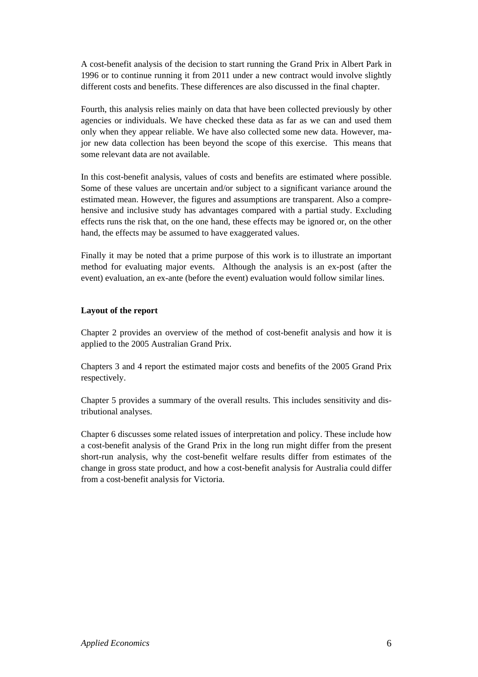A cost-benefit analysis of the decision to start running the Grand Prix in Albert Park in 1996 or to continue running it from 2011 under a new contract would involve slightly different costs and benefits. These differences are also discussed in the final chapter.

Fourth, this analysis relies mainly on data that have been collected previously by other agencies or individuals. We have checked these data as far as we can and used them only when they appear reliable. We have also collected some new data. However, major new data collection has been beyond the scope of this exercise. This means that some relevant data are not available.

In this cost-benefit analysis, values of costs and benefits are estimated where possible. Some of these values are uncertain and/or subject to a significant variance around the estimated mean. However, the figures and assumptions are transparent. Also a comprehensive and inclusive study has advantages compared with a partial study. Excluding effects runs the risk that, on the one hand, these effects may be ignored or, on the other hand, the effects may be assumed to have exaggerated values.

Finally it may be noted that a prime purpose of this work is to illustrate an important method for evaluating major events. Although the analysis is an ex-post (after the event) evaluation, an ex-ante (before the event) evaluation would follow similar lines.

#### **Layout of the report**

Chapter 2 provides an overview of the method of cost-benefit analysis and how it is applied to the 2005 Australian Grand Prix.

Chapters 3 and 4 report the estimated major costs and benefits of the 2005 Grand Prix respectively.

Chapter 5 provides a summary of the overall results. This includes sensitivity and distributional analyses.

Chapter 6 discusses some related issues of interpretation and policy. These include how a cost-benefit analysis of the Grand Prix in the long run might differ from the present short-run analysis, why the cost-benefit welfare results differ from estimates of the change in gross state product, and how a cost-benefit analysis for Australia could differ from a cost-benefit analysis for Victoria.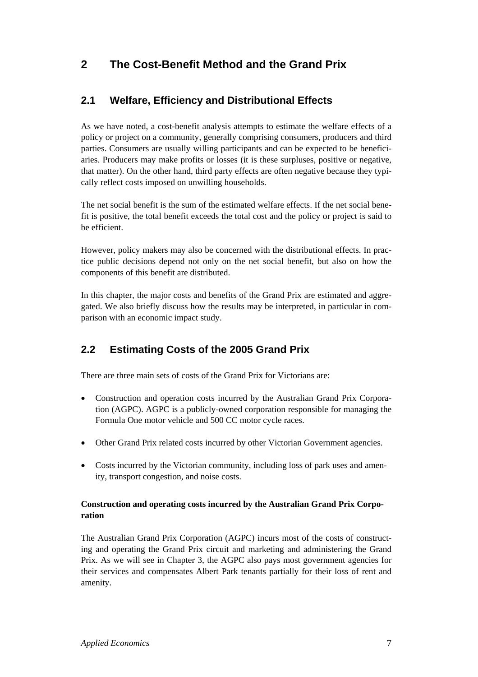# **2 The Cost-Benefit Method and the Grand Prix**

# **2.1 Welfare, Efficiency and Distributional Effects**

As we have noted, a cost-benefit analysis attempts to estimate the welfare effects of a policy or project on a community, generally comprising consumers, producers and third parties. Consumers are usually willing participants and can be expected to be beneficiaries. Producers may make profits or losses (it is these surpluses, positive or negative, that matter). On the other hand, third party effects are often negative because they typically reflect costs imposed on unwilling households.

The net social benefit is the sum of the estimated welfare effects. If the net social benefit is positive, the total benefit exceeds the total cost and the policy or project is said to be efficient.

However, policy makers may also be concerned with the distributional effects. In practice public decisions depend not only on the net social benefit, but also on how the components of this benefit are distributed.

In this chapter, the major costs and benefits of the Grand Prix are estimated and aggregated. We also briefly discuss how the results may be interpreted, in particular in comparison with an economic impact study.

# **2.2 Estimating Costs of the 2005 Grand Prix**

There are three main sets of costs of the Grand Prix for Victorians are:

- Construction and operation costs incurred by the Australian Grand Prix Corporation (AGPC). AGPC is a publicly-owned corporation responsible for managing the Formula One motor vehicle and 500 CC motor cycle races.
- Other Grand Prix related costs incurred by other Victorian Government agencies.
- Costs incurred by the Victorian community, including loss of park uses and amenity, transport congestion, and noise costs.

#### **Construction and operating costs incurred by the Australian Grand Prix Corporation**

The Australian Grand Prix Corporation (AGPC) incurs most of the costs of constructing and operating the Grand Prix circuit and marketing and administering the Grand Prix. As we will see in Chapter 3, the AGPC also pays most government agencies for their services and compensates Albert Park tenants partially for their loss of rent and amenity.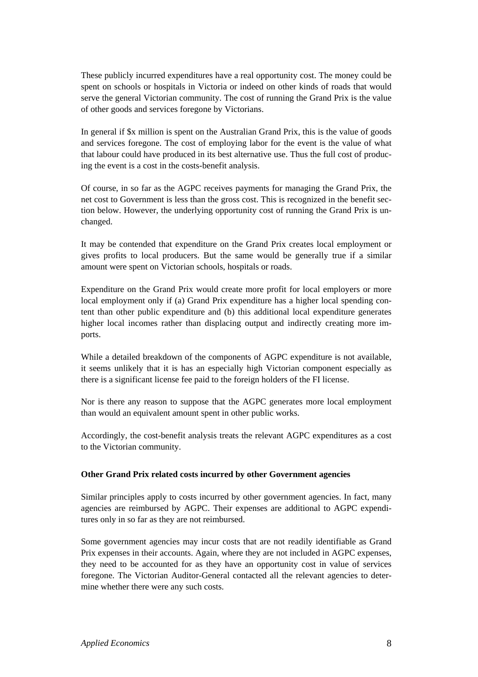These publicly incurred expenditures have a real opportunity cost. The money could be spent on schools or hospitals in Victoria or indeed on other kinds of roads that would serve the general Victorian community. The cost of running the Grand Prix is the value of other goods and services foregone by Victorians.

In general if \$x million is spent on the Australian Grand Prix, this is the value of goods and services foregone. The cost of employing labor for the event is the value of what that labour could have produced in its best alternative use. Thus the full cost of producing the event is a cost in the costs-benefit analysis.

Of course, in so far as the AGPC receives payments for managing the Grand Prix, the net cost to Government is less than the gross cost. This is recognized in the benefit section below. However, the underlying opportunity cost of running the Grand Prix is unchanged.

It may be contended that expenditure on the Grand Prix creates local employment or gives profits to local producers. But the same would be generally true if a similar amount were spent on Victorian schools, hospitals or roads.

Expenditure on the Grand Prix would create more profit for local employers or more local employment only if (a) Grand Prix expenditure has a higher local spending content than other public expenditure and (b) this additional local expenditure generates higher local incomes rather than displacing output and indirectly creating more imports.

While a detailed breakdown of the components of AGPC expenditure is not available, it seems unlikely that it is has an especially high Victorian component especially as there is a significant license fee paid to the foreign holders of the FI license.

Nor is there any reason to suppose that the AGPC generates more local employment than would an equivalent amount spent in other public works.

Accordingly, the cost-benefit analysis treats the relevant AGPC expenditures as a cost to the Victorian community.

#### **Other Grand Prix related costs incurred by other Government agencies**

Similar principles apply to costs incurred by other government agencies. In fact, many agencies are reimbursed by AGPC. Their expenses are additional to AGPC expenditures only in so far as they are not reimbursed.

Some government agencies may incur costs that are not readily identifiable as Grand Prix expenses in their accounts. Again, where they are not included in AGPC expenses, they need to be accounted for as they have an opportunity cost in value of services foregone. The Victorian Auditor-General contacted all the relevant agencies to determine whether there were any such costs.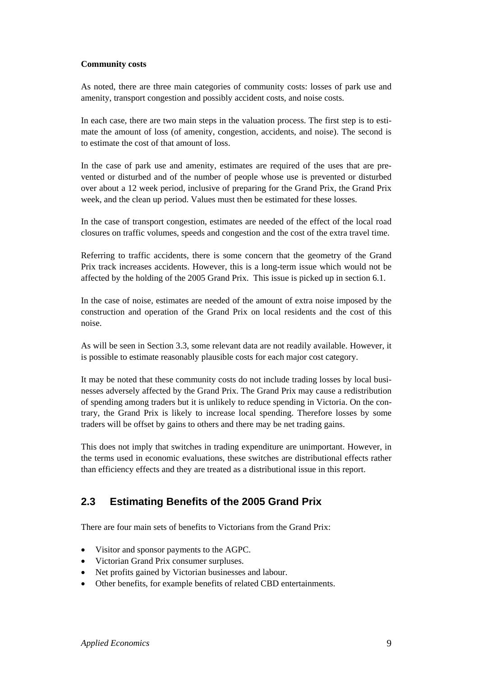#### **Community costs**

As noted, there are three main categories of community costs: losses of park use and amenity, transport congestion and possibly accident costs, and noise costs.

In each case, there are two main steps in the valuation process. The first step is to estimate the amount of loss (of amenity, congestion, accidents, and noise). The second is to estimate the cost of that amount of loss.

In the case of park use and amenity, estimates are required of the uses that are prevented or disturbed and of the number of people whose use is prevented or disturbed over about a 12 week period, inclusive of preparing for the Grand Prix, the Grand Prix week, and the clean up period. Values must then be estimated for these losses.

In the case of transport congestion, estimates are needed of the effect of the local road closures on traffic volumes, speeds and congestion and the cost of the extra travel time.

Referring to traffic accidents, there is some concern that the geometry of the Grand Prix track increases accidents. However, this is a long-term issue which would not be affected by the holding of the 2005 Grand Prix. This issue is picked up in section 6.1.

In the case of noise, estimates are needed of the amount of extra noise imposed by the construction and operation of the Grand Prix on local residents and the cost of this noise.

As will be seen in Section 3.3, some relevant data are not readily available. However, it is possible to estimate reasonably plausible costs for each major cost category.

It may be noted that these community costs do not include trading losses by local businesses adversely affected by the Grand Prix. The Grand Prix may cause a redistribution of spending among traders but it is unlikely to reduce spending in Victoria. On the contrary, the Grand Prix is likely to increase local spending. Therefore losses by some traders will be offset by gains to others and there may be net trading gains.

This does not imply that switches in trading expenditure are unimportant. However, in the terms used in economic evaluations, these switches are distributional effects rather than efficiency effects and they are treated as a distributional issue in this report.

## **2.3 Estimating Benefits of the 2005 Grand Prix**

There are four main sets of benefits to Victorians from the Grand Prix:

- Visitor and sponsor payments to the AGPC.
- Victorian Grand Prix consumer surpluses.
- Net profits gained by Victorian businesses and labour.
- Other benefits, for example benefits of related CBD entertainments.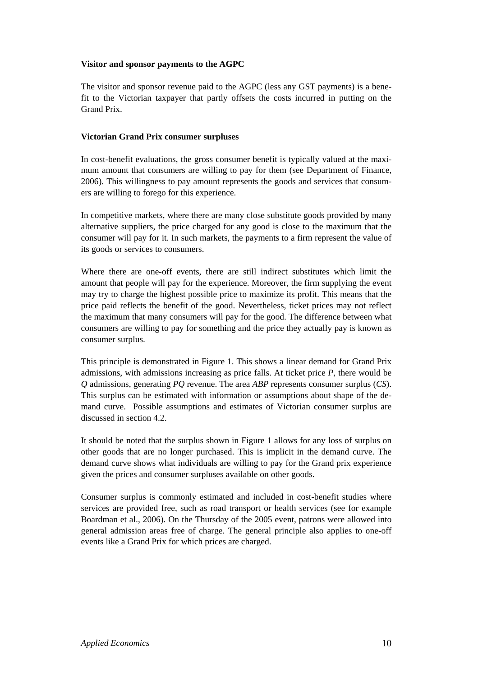#### **Visitor and sponsor payments to the AGPC**

The visitor and sponsor revenue paid to the AGPC (less any GST payments) is a benefit to the Victorian taxpayer that partly offsets the costs incurred in putting on the Grand Prix.

#### **Victorian Grand Prix consumer surpluses**

In cost-benefit evaluations, the gross consumer benefit is typically valued at the maximum amount that consumers are willing to pay for them (see Department of Finance, 2006). This willingness to pay amount represents the goods and services that consumers are willing to forego for this experience.

In competitive markets, where there are many close substitute goods provided by many alternative suppliers, the price charged for any good is close to the maximum that the consumer will pay for it. In such markets, the payments to a firm represent the value of its goods or services to consumers.

Where there are one-off events, there are still indirect substitutes which limit the amount that people will pay for the experience. Moreover, the firm supplying the event may try to charge the highest possible price to maximize its profit. This means that the price paid reflects the benefit of the good. Nevertheless, ticket prices may not reflect the maximum that many consumers will pay for the good. The difference between what consumers are willing to pay for something and the price they actually pay is known as consumer surplus.

This principle is demonstrated in Figure 1. This shows a linear demand for Grand Prix admissions, with admissions increasing as price falls. At ticket price *P*, there would be *Q* admissions, generating *PQ* revenue. The area *ABP* represents consumer surplus (*CS*). This surplus can be estimated with information or assumptions about shape of the demand curve. Possible assumptions and estimates of Victorian consumer surplus are discussed in section 4.2.

It should be noted that the surplus shown in Figure 1 allows for any loss of surplus on other goods that are no longer purchased. This is implicit in the demand curve. The demand curve shows what individuals are willing to pay for the Grand prix experience given the prices and consumer surpluses available on other goods.

Consumer surplus is commonly estimated and included in cost-benefit studies where services are provided free, such as road transport or health services (see for example Boardman et al., 2006). On the Thursday of the 2005 event, patrons were allowed into general admission areas free of charge. The general principle also applies to one-off events like a Grand Prix for which prices are charged.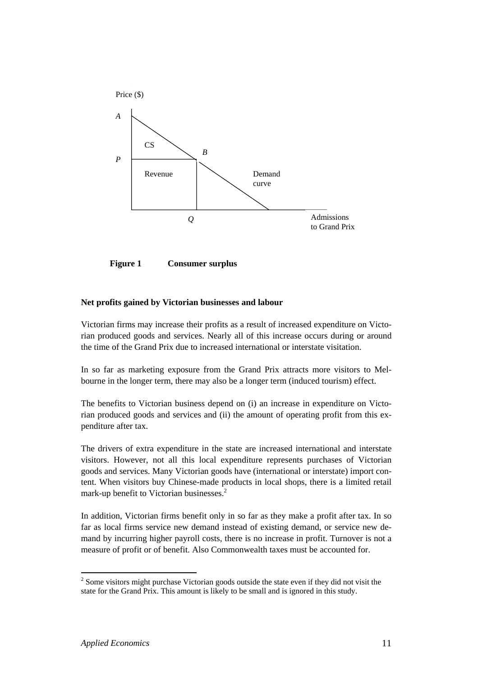

**Figure 1 Consumer surplus** 

#### **Net profits gained by Victorian businesses and labour**

Victorian firms may increase their profits as a result of increased expenditure on Victorian produced goods and services. Nearly all of this increase occurs during or around the time of the Grand Prix due to increased international or interstate visitation.

In so far as marketing exposure from the Grand Prix attracts more visitors to Melbourne in the longer term, there may also be a longer term (induced tourism) effect.

The benefits to Victorian business depend on (i) an increase in expenditure on Victorian produced goods and services and (ii) the amount of operating profit from this expenditure after tax.

The drivers of extra expenditure in the state are increased international and interstate visitors. However, not all this local expenditure represents purchases of Victorian goods and services. Many Victorian goods have (international or interstate) import content. When visitors buy Chinese-made products in local shops, there is a limited retail mark-up benefit to Victorian businesses.<sup>2</sup>

In addition, Victorian firms benefit only in so far as they make a profit after tax. In so far as local firms service new demand instead of existing demand, or service new demand by incurring higher payroll costs, there is no increase in profit. Turnover is not a measure of profit or of benefit. Also Commonwealth taxes must be accounted for.

 $\overline{a}$ 

 $2^{2}$  Some visitors might purchase Victorian goods outside the state even if they did not visit the state for the Grand Prix. This amount is likely to be small and is ignored in this study.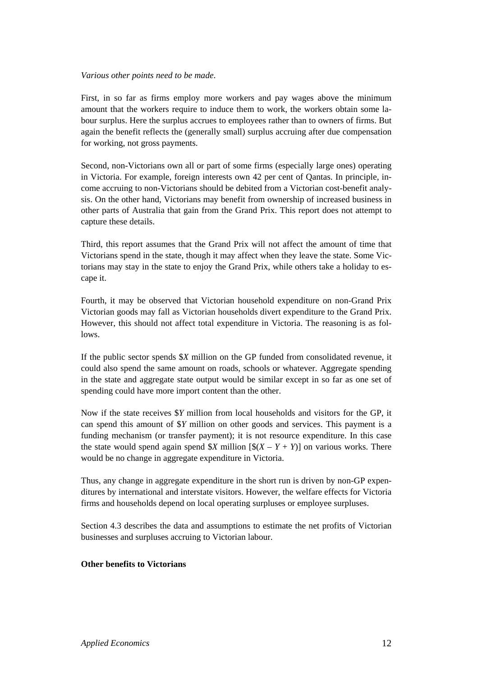#### *Various other points need to be made*.

First, in so far as firms employ more workers and pay wages above the minimum amount that the workers require to induce them to work, the workers obtain some labour surplus. Here the surplus accrues to employees rather than to owners of firms. But again the benefit reflects the (generally small) surplus accruing after due compensation for working, not gross payments.

Second, non-Victorians own all or part of some firms (especially large ones) operating in Victoria. For example, foreign interests own 42 per cent of Qantas. In principle, income accruing to non-Victorians should be debited from a Victorian cost-benefit analysis. On the other hand, Victorians may benefit from ownership of increased business in other parts of Australia that gain from the Grand Prix. This report does not attempt to capture these details.

Third, this report assumes that the Grand Prix will not affect the amount of time that Victorians spend in the state, though it may affect when they leave the state. Some Victorians may stay in the state to enjoy the Grand Prix, while others take a holiday to escape it.

Fourth, it may be observed that Victorian household expenditure on non-Grand Prix Victorian goods may fall as Victorian households divert expenditure to the Grand Prix. However, this should not affect total expenditure in Victoria. The reasoning is as follows.

If the public sector spends \$*X* million on the GP funded from consolidated revenue, it could also spend the same amount on roads, schools or whatever. Aggregate spending in the state and aggregate state output would be similar except in so far as one set of spending could have more import content than the other.

Now if the state receives \$*Y* million from local households and visitors for the GP, it can spend this amount of \$*Y* million on other goods and services. This payment is a funding mechanism (or transfer payment); it is not resource expenditure. In this case the state would spend again spend  $X$  million  $[\S(X - Y + Y)]$  on various works. There would be no change in aggregate expenditure in Victoria.

Thus, any change in aggregate expenditure in the short run is driven by non-GP expenditures by international and interstate visitors. However, the welfare effects for Victoria firms and households depend on local operating surpluses or employee surpluses.

Section 4.3 describes the data and assumptions to estimate the net profits of Victorian businesses and surpluses accruing to Victorian labour.

#### **Other benefits to Victorians**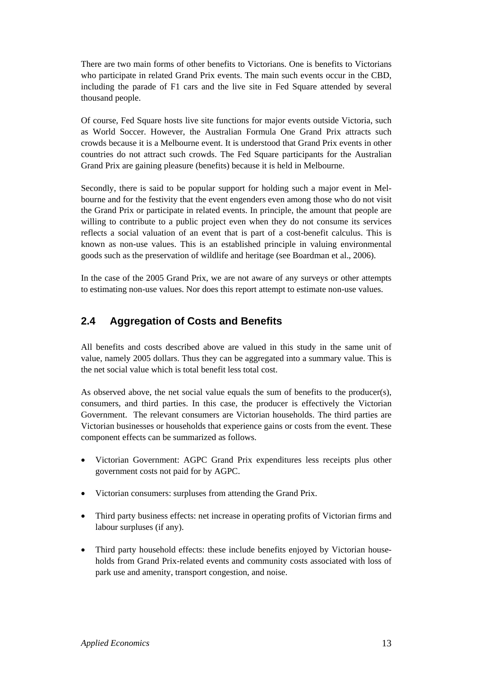There are two main forms of other benefits to Victorians. One is benefits to Victorians who participate in related Grand Prix events. The main such events occur in the CBD, including the parade of F1 cars and the live site in Fed Square attended by several thousand people.

Of course, Fed Square hosts live site functions for major events outside Victoria, such as World Soccer. However, the Australian Formula One Grand Prix attracts such crowds because it is a Melbourne event. It is understood that Grand Prix events in other countries do not attract such crowds. The Fed Square participants for the Australian Grand Prix are gaining pleasure (benefits) because it is held in Melbourne.

Secondly, there is said to be popular support for holding such a major event in Melbourne and for the festivity that the event engenders even among those who do not visit the Grand Prix or participate in related events. In principle, the amount that people are willing to contribute to a public project even when they do not consume its services reflects a social valuation of an event that is part of a cost-benefit calculus. This is known as non-use values. This is an established principle in valuing environmental goods such as the preservation of wildlife and heritage (see Boardman et al., 2006).

In the case of the 2005 Grand Prix, we are not aware of any surveys or other attempts to estimating non-use values. Nor does this report attempt to estimate non-use values.

# **2.4 Aggregation of Costs and Benefits**

All benefits and costs described above are valued in this study in the same unit of value, namely 2005 dollars. Thus they can be aggregated into a summary value. This is the net social value which is total benefit less total cost.

As observed above, the net social value equals the sum of benefits to the producer(s), consumers, and third parties. In this case, the producer is effectively the Victorian Government. The relevant consumers are Victorian households. The third parties are Victorian businesses or households that experience gains or costs from the event. These component effects can be summarized as follows.

- Victorian Government: AGPC Grand Prix expenditures less receipts plus other government costs not paid for by AGPC.
- Victorian consumers: surpluses from attending the Grand Prix.
- Third party business effects: net increase in operating profits of Victorian firms and labour surpluses (if any).
- Third party household effects: these include benefits enjoyed by Victorian households from Grand Prix-related events and community costs associated with loss of park use and amenity, transport congestion, and noise.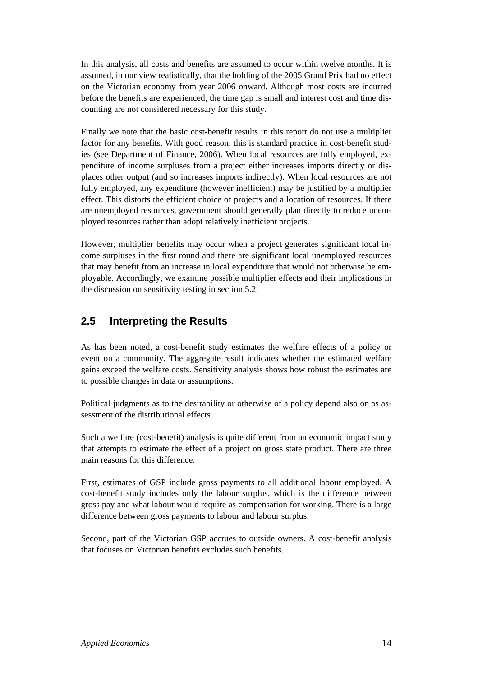In this analysis, all costs and benefits are assumed to occur within twelve months. It is assumed, in our view realistically, that the holding of the 2005 Grand Prix had no effect on the Victorian economy from year 2006 onward. Although most costs are incurred before the benefits are experienced, the time gap is small and interest cost and time discounting are not considered necessary for this study.

Finally we note that the basic cost-benefit results in this report do not use a multiplier factor for any benefits. With good reason, this is standard practice in cost-benefit studies (see Department of Finance, 2006). When local resources are fully employed, expenditure of income surpluses from a project either increases imports directly or displaces other output (and so increases imports indirectly). When local resources are not fully employed, any expenditure (however inefficient) may be justified by a multiplier effect. This distorts the efficient choice of projects and allocation of resources. If there are unemployed resources, government should generally plan directly to reduce unemployed resources rather than adopt relatively inefficient projects.

However, multiplier benefits may occur when a project generates significant local income surpluses in the first round and there are significant local unemployed resources that may benefit from an increase in local expenditure that would not otherwise be employable. Accordingly, we examine possible multiplier effects and their implications in the discussion on sensitivity testing in section 5.2.

### **2.5 Interpreting the Results**

As has been noted, a cost-benefit study estimates the welfare effects of a policy or event on a community. The aggregate result indicates whether the estimated welfare gains exceed the welfare costs. Sensitivity analysis shows how robust the estimates are to possible changes in data or assumptions.

Political judgments as to the desirability or otherwise of a policy depend also on as assessment of the distributional effects.

Such a welfare (cost-benefit) analysis is quite different from an economic impact study that attempts to estimate the effect of a project on gross state product. There are three main reasons for this difference.

First, estimates of GSP include gross payments to all additional labour employed. A cost-benefit study includes only the labour surplus, which is the difference between gross pay and what labour would require as compensation for working. There is a large difference between gross payments to labour and labour surplus.

Second, part of the Victorian GSP accrues to outside owners. A cost-benefit analysis that focuses on Victorian benefits excludes such benefits.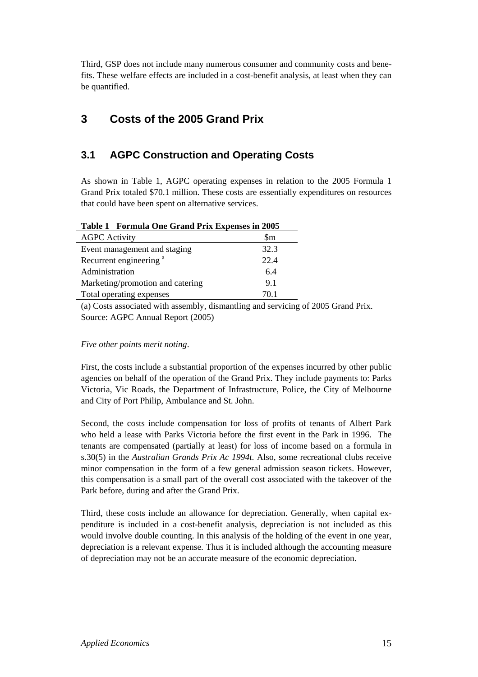Third, GSP does not include many numerous consumer and community costs and benefits. These welfare effects are included in a cost-benefit analysis, at least when they can be quantified.

## **3 Costs of the 2005 Grand Prix**

## **3.1 AGPC Construction and Operating Costs**

As shown in Table 1, AGPC operating expenses in relation to the 2005 Formula 1 Grand Prix totaled \$70.1 million. These costs are essentially expenditures on resources that could have been spent on alternative services.

| <b>Table 1 Formula One Grand Frix Expenses in 2005</b> |      |
|--------------------------------------------------------|------|
| <b>AGPC</b> Activity                                   | \$m  |
| Event management and staging                           | 32.3 |
| Recurrent engineering <sup>a</sup>                     | 22.4 |
| Administration                                         | 6.4  |
| Marketing/promotion and catering                       | 9.1  |
| Total operating expenses                               | 70.1 |

| Table 1 Formula One Grand Prix Expenses in 2005 |  |  |  |  |
|-------------------------------------------------|--|--|--|--|
|-------------------------------------------------|--|--|--|--|

(a) Costs associated with assembly, dismantling and servicing of 2005 Grand Prix. Source: AGPC Annual Report (2005)

#### *Five other points merit noting*.

First, the costs include a substantial proportion of the expenses incurred by other public agencies on behalf of the operation of the Grand Prix. They include payments to: Parks Victoria, Vic Roads, the Department of Infrastructure, Police, the City of Melbourne and City of Port Philip, Ambulance and St. John.

Second, the costs include compensation for loss of profits of tenants of Albert Park who held a lease with Parks Victoria before the first event in the Park in 1996. The tenants are compensated (partially at least) for loss of income based on a formula in s.30(5) in the *Australian Grands Prix Ac 1994t*. Also, some recreational clubs receive minor compensation in the form of a few general admission season tickets. However, this compensation is a small part of the overall cost associated with the takeover of the Park before, during and after the Grand Prix.

Third, these costs include an allowance for depreciation. Generally, when capital expenditure is included in a cost-benefit analysis, depreciation is not included as this would involve double counting. In this analysis of the holding of the event in one year, depreciation is a relevant expense. Thus it is included although the accounting measure of depreciation may not be an accurate measure of the economic depreciation.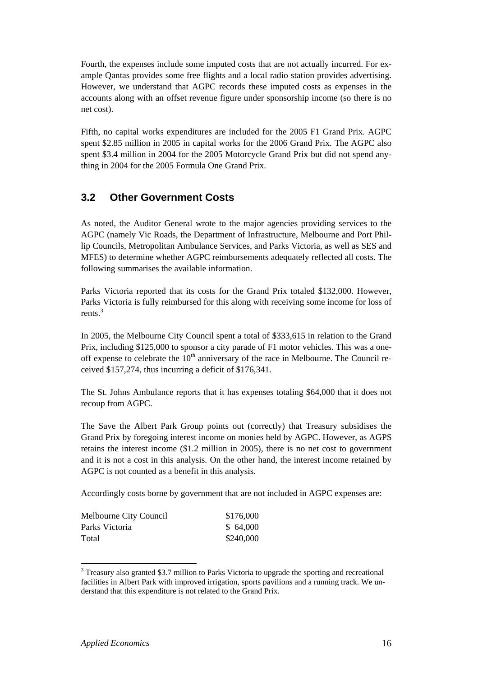Fourth, the expenses include some imputed costs that are not actually incurred. For example Qantas provides some free flights and a local radio station provides advertising. However, we understand that AGPC records these imputed costs as expenses in the accounts along with an offset revenue figure under sponsorship income (so there is no net cost).

Fifth, no capital works expenditures are included for the 2005 F1 Grand Prix. AGPC spent \$2.85 million in 2005 in capital works for the 2006 Grand Prix. The AGPC also spent \$3.4 million in 2004 for the 2005 Motorcycle Grand Prix but did not spend anything in 2004 for the 2005 Formula One Grand Prix.

### **3.2 Other Government Costs**

As noted, the Auditor General wrote to the major agencies providing services to the AGPC (namely Vic Roads, the Department of Infrastructure, Melbourne and Port Phillip Councils, Metropolitan Ambulance Services, and Parks Victoria, as well as SES and MFES) to determine whether AGPC reimbursements adequately reflected all costs. The following summarises the available information.

Parks Victoria reported that its costs for the Grand Prix totaled \$132,000. However, Parks Victoria is fully reimbursed for this along with receiving some income for loss of rents. $3$ 

In 2005, the Melbourne City Council spent a total of \$333,615 in relation to the Grand Prix, including \$125,000 to sponsor a city parade of F1 motor vehicles. This was a oneoff expense to celebrate the  $10<sup>th</sup>$  anniversary of the race in Melbourne. The Council received \$157,274, thus incurring a deficit of \$176,341.

The St. Johns Ambulance reports that it has expenses totaling \$64,000 that it does not recoup from AGPC.

The Save the Albert Park Group points out (correctly) that Treasury subsidises the Grand Prix by foregoing interest income on monies held by AGPC. However, as AGPS retains the interest income (\$1.2 million in 2005), there is no net cost to government and it is not a cost in this analysis. On the other hand, the interest income retained by AGPC is not counted as a benefit in this analysis.

Accordingly costs borne by government that are not included in AGPC expenses are:

| Melbourne City Council | \$176,000 |
|------------------------|-----------|
| Parks Victoria         | \$64,000  |
| Total                  | \$240,000 |

<sup>&</sup>lt;sup>3</sup> Treasury also granted \$3.7 million to Parks Victoria to upgrade the sporting and recreational facilities in Albert Park with improved irrigation, sports pavilions and a running track. We understand that this expenditure is not related to the Grand Prix.

 $\overline{a}$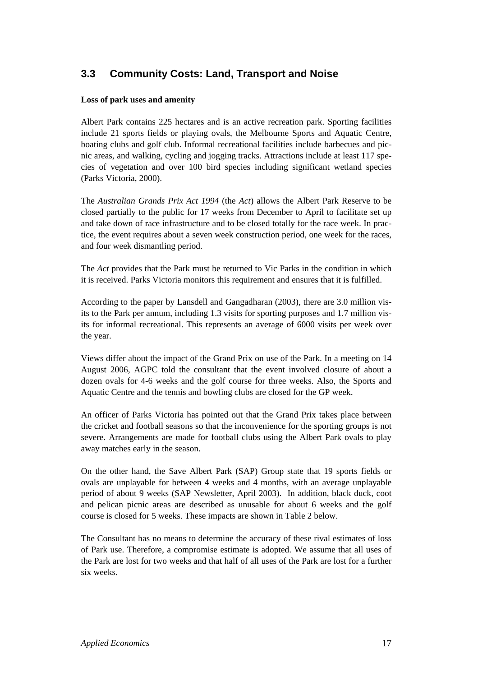# **3.3 Community Costs: Land, Transport and Noise**

#### **Loss of park uses and amenity**

Albert Park contains 225 hectares and is an active recreation park. Sporting facilities include 21 sports fields or playing ovals, the Melbourne Sports and Aquatic Centre, boating clubs and golf club. Informal recreational facilities include barbecues and picnic areas, and walking, cycling and jogging tracks. Attractions include at least 117 species of vegetation and over 100 bird species including significant wetland species (Parks Victoria, 2000).

The *Australian Grands Prix Act 1994* (the *Act*) allows the Albert Park Reserve to be closed partially to the public for 17 weeks from December to April to facilitate set up and take down of race infrastructure and to be closed totally for the race week. In practice, the event requires about a seven week construction period, one week for the races, and four week dismantling period.

The *Act* provides that the Park must be returned to Vic Parks in the condition in which it is received. Parks Victoria monitors this requirement and ensures that it is fulfilled.

According to the paper by Lansdell and Gangadharan (2003), there are 3.0 million visits to the Park per annum, including 1.3 visits for sporting purposes and 1.7 million visits for informal recreational. This represents an average of 6000 visits per week over the year.

Views differ about the impact of the Grand Prix on use of the Park. In a meeting on 14 August 2006, AGPC told the consultant that the event involved closure of about a dozen ovals for 4-6 weeks and the golf course for three weeks. Also, the Sports and Aquatic Centre and the tennis and bowling clubs are closed for the GP week.

An officer of Parks Victoria has pointed out that the Grand Prix takes place between the cricket and football seasons so that the inconvenience for the sporting groups is not severe. Arrangements are made for football clubs using the Albert Park ovals to play away matches early in the season.

On the other hand, the Save Albert Park (SAP) Group state that 19 sports fields or ovals are unplayable for between 4 weeks and 4 months, with an average unplayable period of about 9 weeks (SAP Newsletter, April 2003). In addition, black duck, coot and pelican picnic areas are described as unusable for about 6 weeks and the golf course is closed for 5 weeks. These impacts are shown in Table 2 below.

The Consultant has no means to determine the accuracy of these rival estimates of loss of Park use. Therefore, a compromise estimate is adopted. We assume that all uses of the Park are lost for two weeks and that half of all uses of the Park are lost for a further six weeks.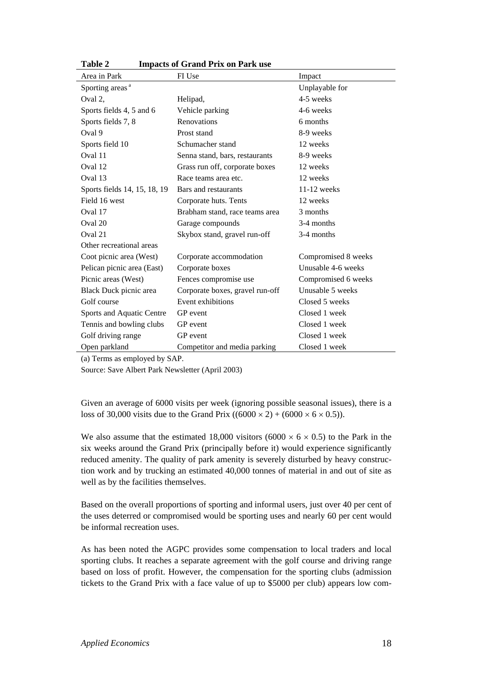| Area in Park                 | FI Use                          | Impact              |
|------------------------------|---------------------------------|---------------------|
| Sporting areas <sup>a</sup>  |                                 | Unplayable for      |
| Oval 2,                      | Helipad,                        | 4-5 weeks           |
| Sports fields 4, 5 and 6     | Vehicle parking                 | 4-6 weeks           |
| Sports fields 7, 8           | Renovations                     | 6 months            |
| Oval 9                       | Prost stand                     | 8-9 weeks           |
| Sports field 10              | Schumacher stand                | 12 weeks            |
| Oval 11                      | Senna stand, bars, restaurants  | 8-9 weeks           |
| Oval 12                      | Grass run off, corporate boxes  | 12 weeks            |
| Oval 13                      | Race teams area etc.            | 12 weeks            |
| Sports fields 14, 15, 18, 19 | Bars and restaurants            | $11-12$ weeks       |
| Field 16 west                | Corporate huts. Tents           | 12 weeks            |
| Oval 17                      | Brabham stand, race teams area  | 3 months            |
| Oval 20                      | Garage compounds                | 3-4 months          |
| Oval 21                      | Skybox stand, gravel run-off    | 3-4 months          |
| Other recreational areas     |                                 |                     |
| Coot picnic area (West)      | Corporate accommodation         | Compromised 8 weeks |
| Pelican picnic area (East)   | Corporate boxes                 | Unusable 4-6 weeks  |
| Picnic areas (West)          | Fences compromise use           | Compromised 6 weeks |
| Black Duck picnic area       | Corporate boxes, gravel run-off | Unusable 5 weeks    |
| Golf course                  | Event exhibitions               | Closed 5 weeks      |
| Sports and Aquatic Centre    | GP event                        | Closed 1 week       |
| Tennis and bowling clubs     | GP event                        | Closed 1 week       |
| Golf driving range           | GP event                        | Closed 1 week       |
| Open parkland                | Competitor and media parking    | Closed 1 week       |

**Table 2 Impacts of Grand Prix on Park use** 

(a) Terms as employed by SAP.

Source: Save Albert Park Newsletter (April 2003)

Given an average of 6000 visits per week (ignoring possible seasonal issues), there is a loss of 30,000 visits due to the Grand Prix ((6000  $\times$  2) + (6000  $\times$  6  $\times$  0.5)).

We also assume that the estimated 18,000 visitors (6000  $\times$  6  $\times$  0.5) to the Park in the six weeks around the Grand Prix (principally before it) would experience significantly reduced amenity. The quality of park amenity is severely disturbed by heavy construction work and by trucking an estimated 40,000 tonnes of material in and out of site as well as by the facilities themselves.

Based on the overall proportions of sporting and informal users, just over 40 per cent of the uses deterred or compromised would be sporting uses and nearly 60 per cent would be informal recreation uses.

As has been noted the AGPC provides some compensation to local traders and local sporting clubs. It reaches a separate agreement with the golf course and driving range based on loss of profit. However, the compensation for the sporting clubs (admission tickets to the Grand Prix with a face value of up to \$5000 per club) appears low com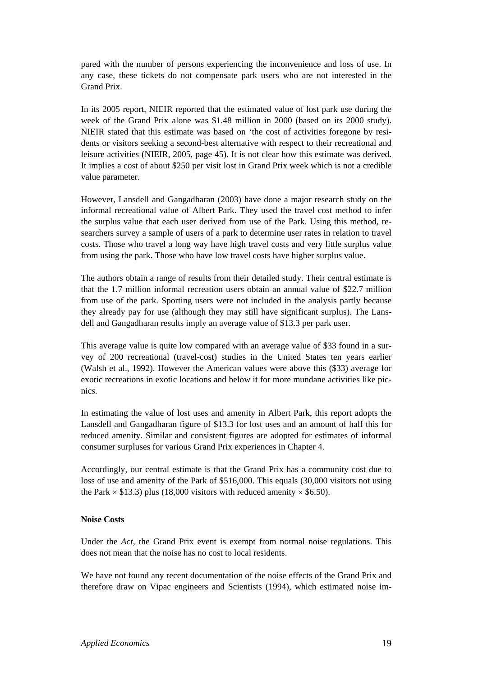pared with the number of persons experiencing the inconvenience and loss of use. In any case, these tickets do not compensate park users who are not interested in the Grand Prix.

In its 2005 report, NIEIR reported that the estimated value of lost park use during the week of the Grand Prix alone was \$1.48 million in 2000 (based on its 2000 study). NIEIR stated that this estimate was based on 'the cost of activities foregone by residents or visitors seeking a second-best alternative with respect to their recreational and leisure activities (NIEIR, 2005, page 45). It is not clear how this estimate was derived. It implies a cost of about \$250 per visit lost in Grand Prix week which is not a credible value parameter.

However, Lansdell and Gangadharan (2003) have done a major research study on the informal recreational value of Albert Park. They used the travel cost method to infer the surplus value that each user derived from use of the Park. Using this method, researchers survey a sample of users of a park to determine user rates in relation to travel costs. Those who travel a long way have high travel costs and very little surplus value from using the park. Those who have low travel costs have higher surplus value.

The authors obtain a range of results from their detailed study. Their central estimate is that the 1.7 million informal recreation users obtain an annual value of \$22.7 million from use of the park. Sporting users were not included in the analysis partly because they already pay for use (although they may still have significant surplus). The Lansdell and Gangadharan results imply an average value of \$13.3 per park user.

This average value is quite low compared with an average value of \$33 found in a survey of 200 recreational (travel-cost) studies in the United States ten years earlier (Walsh et al., 1992). However the American values were above this (\$33) average for exotic recreations in exotic locations and below it for more mundane activities like picnics.

In estimating the value of lost uses and amenity in Albert Park, this report adopts the Lansdell and Gangadharan figure of \$13.3 for lost uses and an amount of half this for reduced amenity. Similar and consistent figures are adopted for estimates of informal consumer surpluses for various Grand Prix experiences in Chapter 4.

Accordingly, our central estimate is that the Grand Prix has a community cost due to loss of use and amenity of the Park of \$516,000. This equals (30,000 visitors not using the Park  $\times$  \$13.3) plus (18,000 visitors with reduced amenity  $\times$  \$6.50).

#### **Noise Costs**

Under the *Act,* the Grand Prix event is exempt from normal noise regulations. This does not mean that the noise has no cost to local residents.

We have not found any recent documentation of the noise effects of the Grand Prix and therefore draw on Vipac engineers and Scientists (1994), which estimated noise im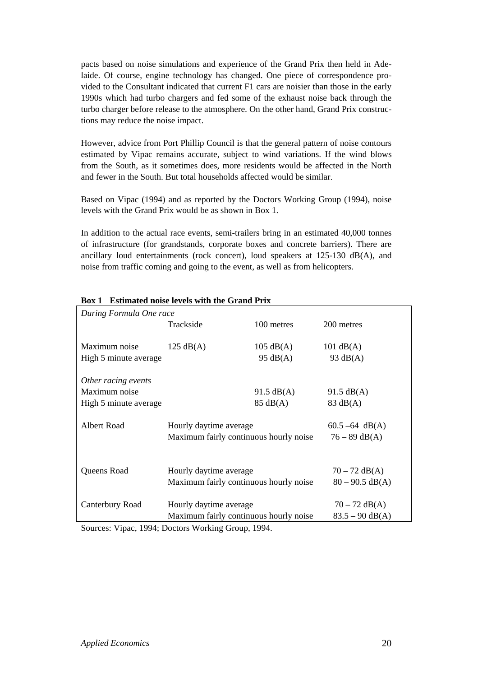pacts based on noise simulations and experience of the Grand Prix then held in Adelaide. Of course, engine technology has changed. One piece of correspondence provided to the Consultant indicated that current F1 cars are noisier than those in the early 1990s which had turbo chargers and fed some of the exhaust noise back through the turbo charger before release to the atmosphere. On the other hand, Grand Prix constructions may reduce the noise impact.

However, advice from Port Phillip Council is that the general pattern of noise contours estimated by Vipac remains accurate, subject to wind variations. If the wind blows from the South, as it sometimes does, more residents would be affected in the North and fewer in the South. But total households affected would be similar.

Based on Vipac (1994) and as reported by the Doctors Working Group (1994), noise levels with the Grand Prix would be as shown in Box 1.

In addition to the actual race events, semi-trailers bring in an estimated 40,000 tonnes of infrastructure (for grandstands, corporate boxes and concrete barriers). There are ancillary loud entertainments (rock concert), loud speakers at 125-130 dB(A), and noise from traffic coming and going to the event, as well as from helicopters.

| During Formula One race |                                        |                      |                      |
|-------------------------|----------------------------------------|----------------------|----------------------|
|                         | Trackside                              | 100 metres           | 200 metres           |
|                         |                                        |                      |                      |
| Maximum noise           | $125 \text{ dB}(A)$                    | $105 \text{ dB}(A)$  | $101 \text{ dB}(A)$  |
| High 5 minute average   |                                        | $95 \text{ dB}(A)$   | 93 $dB(A)$           |
| Other racing events     |                                        |                      |                      |
| Maximum noise           |                                        | $91.5 \text{ dB}(A)$ | $91.5 \text{ dB}(A)$ |
| High 5 minute average   |                                        | $85 \text{ dB}(A)$   | $83 \text{ dB}(A)$   |
|                         |                                        |                      |                      |
| Albert Road             | Hourly daytime average                 |                      | $60.5 - 64$ dB(A)    |
|                         | Maximum fairly continuous hourly noise |                      | $76 - 89$ dB(A)      |
|                         |                                        |                      |                      |
| Queens Road             | Hourly daytime average                 |                      | $70 - 72$ dB(A)      |
|                         | Maximum fairly continuous hourly noise |                      | $80 - 90.5$ dB(A)    |
|                         |                                        |                      |                      |
| Canterbury Road         | Hourly daytime average                 | $70 - 72$ dB(A)      |                      |
|                         | Maximum fairly continuous hourly noise | $83.5 - 90$ dB(A)    |                      |

#### **Box 1 Estimated noise levels with the Grand Prix**

Sources: Vipac, 1994; Doctors Working Group, 1994.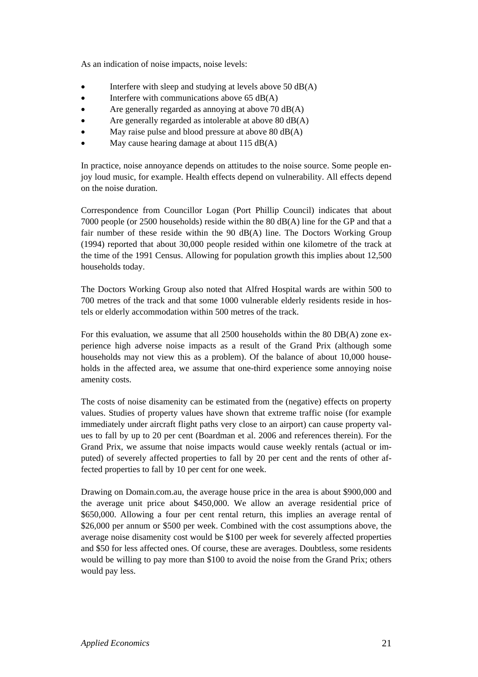As an indication of noise impacts, noise levels:

- Interfere with sleep and studying at levels above  $50$  dB(A)
- Interfere with communications above 65 dB(A)
- Are generally regarded as annoying at above 70 dB(A)
- Are generally regarded as intolerable at above 80 dB(A)
- May raise pulse and blood pressure at above  $80 \text{ dB}(A)$
- May cause hearing damage at about  $115 \text{ dB}(A)$

In practice, noise annoyance depends on attitudes to the noise source. Some people enjoy loud music, for example. Health effects depend on vulnerability. All effects depend on the noise duration.

Correspondence from Councillor Logan (Port Phillip Council) indicates that about 7000 people (or 2500 households) reside within the 80 dB(A) line for the GP and that a fair number of these reside within the 90 dB(A) line. The Doctors Working Group (1994) reported that about 30,000 people resided within one kilometre of the track at the time of the 1991 Census. Allowing for population growth this implies about 12,500 households today.

The Doctors Working Group also noted that Alfred Hospital wards are within 500 to 700 metres of the track and that some 1000 vulnerable elderly residents reside in hostels or elderly accommodation within 500 metres of the track.

For this evaluation, we assume that all 2500 households within the 80 DB(A) zone experience high adverse noise impacts as a result of the Grand Prix (although some households may not view this as a problem). Of the balance of about 10,000 households in the affected area, we assume that one-third experience some annoying noise amenity costs.

The costs of noise disamenity can be estimated from the (negative) effects on property values. Studies of property values have shown that extreme traffic noise (for example immediately under aircraft flight paths very close to an airport) can cause property values to fall by up to 20 per cent (Boardman et al. 2006 and references therein). For the Grand Prix, we assume that noise impacts would cause weekly rentals (actual or imputed) of severely affected properties to fall by 20 per cent and the rents of other affected properties to fall by 10 per cent for one week.

Drawing on Domain.com.au, the average house price in the area is about \$900,000 and the average unit price about \$450,000. We allow an average residential price of \$650,000. Allowing a four per cent rental return, this implies an average rental of \$26,000 per annum or \$500 per week. Combined with the cost assumptions above, the average noise disamenity cost would be \$100 per week for severely affected properties and \$50 for less affected ones. Of course, these are averages. Doubtless, some residents would be willing to pay more than \$100 to avoid the noise from the Grand Prix; others would pay less.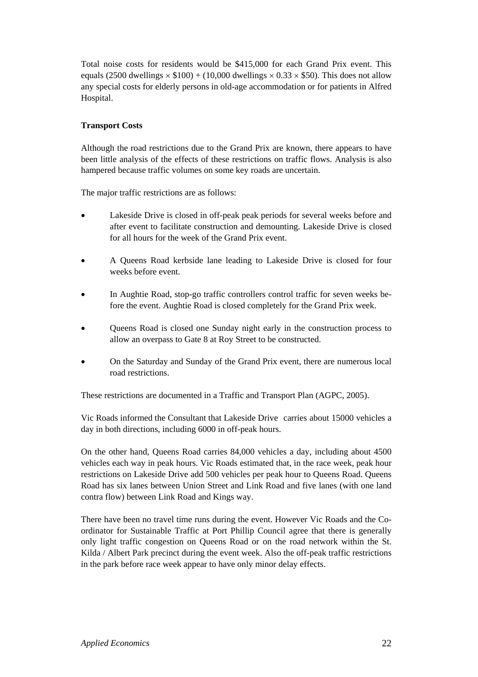Total noise costs for residents would be \$415,000 for each Grand Prix event. This equals (2500 dwellings  $\times$  \$100) + (10,000 dwellings  $\times$  0.33  $\times$  \$50). This does not allow any special costs for elderly persons in old-age accommodation or for patients in Alfred Hospital.

#### **Transport Costs**

Although the road restrictions due to the Grand Prix are known, there appears to have been little analysis of the effects of these restrictions on traffic flows. Analysis is also hampered because traffic volumes on some key roads are uncertain.

The major traffic restrictions are as follows:

- Lakeside Drive is closed in off-peak peak periods for several weeks before and after event to facilitate construction and demounting. Lakeside Drive is closed for all hours for the week of the Grand Prix event.
- A Queens Road kerbside lane leading to Lakeside Drive is closed for four weeks before event.
- In Aughtie Road, stop-go traffic controllers control traffic for seven weeks before the event. Aughtie Road is closed completely for the Grand Prix week.
- Queens Road is closed one Sunday night early in the construction process to allow an overpass to Gate 8 at Roy Street to be constructed.
- On the Saturday and Sunday of the Grand Prix event, there are numerous local road restrictions.

These restrictions are documented in a Traffic and Transport Plan (AGPC, 2005).

Vic Roads informed the Consultant that Lakeside Drive carries about 15000 vehicles a day in both directions, including 6000 in off-peak hours.

On the other hand, Queens Road carries 84,000 vehicles a day, including about 4500 vehicles each way in peak hours. Vic Roads estimated that, in the race week, peak hour restrictions on Lakeside Drive add 500 vehicles per peak hour to Queens Road. Queens Road has six lanes between Union Street and Link Road and five lanes (with one land contra flow) between Link Road and Kings way.

There have been no travel time runs during the event. However Vic Roads and the Coordinator for Sustainable Traffic at Port Phillip Council agree that there is generally only light traffic congestion on Queens Road or on the road network within the St. Kilda / Albert Park precinct during the event week. Also the off-peak traffic restrictions in the park before race week appear to have only minor delay effects.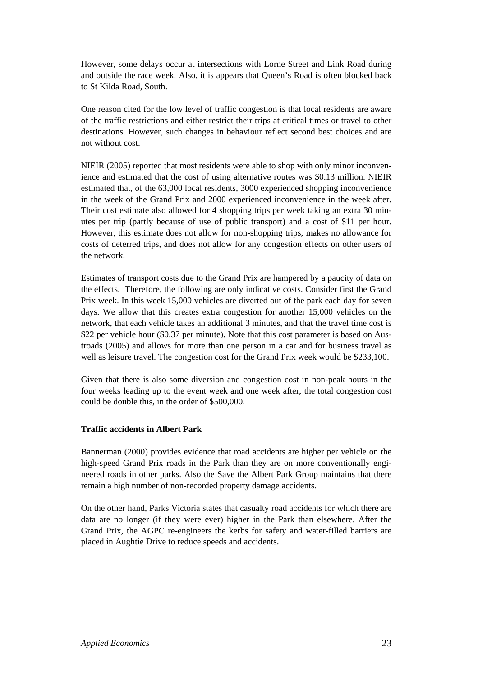However, some delays occur at intersections with Lorne Street and Link Road during and outside the race week. Also, it is appears that Queen's Road is often blocked back to St Kilda Road, South.

One reason cited for the low level of traffic congestion is that local residents are aware of the traffic restrictions and either restrict their trips at critical times or travel to other destinations. However, such changes in behaviour reflect second best choices and are not without cost.

NIEIR (2005) reported that most residents were able to shop with only minor inconvenience and estimated that the cost of using alternative routes was \$0.13 million. NIEIR estimated that, of the 63,000 local residents, 3000 experienced shopping inconvenience in the week of the Grand Prix and 2000 experienced inconvenience in the week after. Their cost estimate also allowed for 4 shopping trips per week taking an extra 30 minutes per trip (partly because of use of public transport) and a cost of \$11 per hour. However, this estimate does not allow for non-shopping trips, makes no allowance for costs of deterred trips, and does not allow for any congestion effects on other users of the network.

Estimates of transport costs due to the Grand Prix are hampered by a paucity of data on the effects. Therefore, the following are only indicative costs. Consider first the Grand Prix week. In this week 15,000 vehicles are diverted out of the park each day for seven days. We allow that this creates extra congestion for another 15,000 vehicles on the network, that each vehicle takes an additional 3 minutes, and that the travel time cost is \$22 per vehicle hour (\$0.37 per minute). Note that this cost parameter is based on Austroads (2005) and allows for more than one person in a car and for business travel as well as leisure travel. The congestion cost for the Grand Prix week would be \$233,100.

Given that there is also some diversion and congestion cost in non-peak hours in the four weeks leading up to the event week and one week after, the total congestion cost could be double this, in the order of \$500,000.

#### **Traffic accidents in Albert Park**

Bannerman (2000) provides evidence that road accidents are higher per vehicle on the high-speed Grand Prix roads in the Park than they are on more conventionally engineered roads in other parks. Also the Save the Albert Park Group maintains that there remain a high number of non-recorded property damage accidents.

On the other hand, Parks Victoria states that casualty road accidents for which there are data are no longer (if they were ever) higher in the Park than elsewhere. After the Grand Prix, the AGPC re-engineers the kerbs for safety and water-filled barriers are placed in Aughtie Drive to reduce speeds and accidents.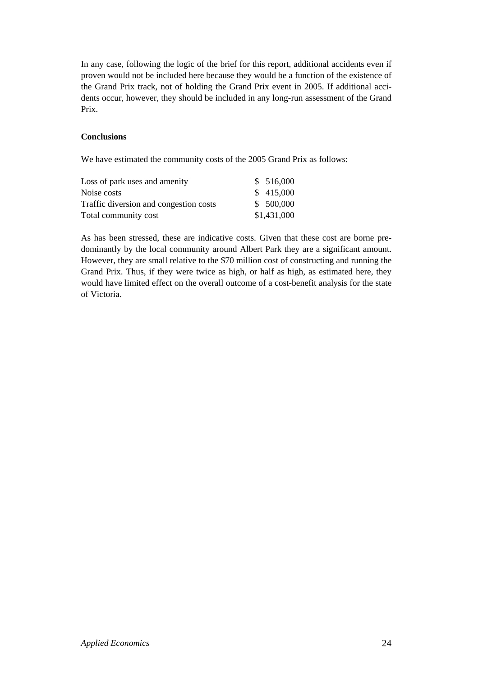In any case, following the logic of the brief for this report, additional accidents even if proven would not be included here because they would be a function of the existence of the Grand Prix track, not of holding the Grand Prix event in 2005. If additional accidents occur, however, they should be included in any long-run assessment of the Grand Prix.

#### **Conclusions**

We have estimated the community costs of the 2005 Grand Prix as follows:

| Loss of park uses and amenity          | \$516,000   |
|----------------------------------------|-------------|
| Noise costs                            | \$415,000   |
| Traffic diversion and congestion costs | \$ 500,000  |
| Total community cost                   | \$1,431,000 |

As has been stressed, these are indicative costs. Given that these cost are borne predominantly by the local community around Albert Park they are a significant amount. However, they are small relative to the \$70 million cost of constructing and running the Grand Prix. Thus, if they were twice as high, or half as high, as estimated here, they would have limited effect on the overall outcome of a cost-benefit analysis for the state of Victoria.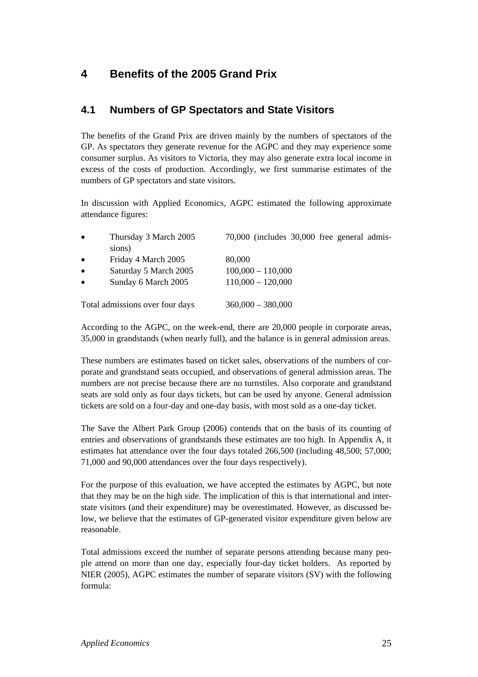# **4 Benefits of the 2005 Grand Prix**

### **4.1 Numbers of GP Spectators and State Visitors**

The benefits of the Grand Prix are driven mainly by the numbers of spectators of the GP. As spectators they generate revenue for the AGPC and they may experience some consumer surplus. As visitors to Victoria, they may also generate extra local income in excess of the costs of production. Accordingly, we first summarise estimates of the numbers of GP spectators and state visitors.

In discussion with Applied Economics, AGPC estimated the following approximate attendance figures:

| $\bullet$ | Thursday 3 March 2005<br>sions) | 70,000 (includes 30,000 free general admis- |
|-----------|---------------------------------|---------------------------------------------|
| $\bullet$ | Friday 4 March 2005             | 80,000                                      |
| $\bullet$ | Saturday 5 March 2005           | $100,000 - 110,000$                         |
| $\bullet$ | Sunday 6 March 2005             | $110,000 - 120,000$                         |
|           | Total admissions over four days | $360,000 - 380,000$                         |

According to the AGPC, on the week-end, there are 20,000 people in corporate areas, 35,000 in grandstands (when nearly full), and the balance is in general admission areas.

These numbers are estimates based on ticket sales, observations of the numbers of corporate and grandstand seats occupied, and observations of general admission areas. The numbers are not precise because there are no turnstiles. Also corporate and grandstand seats are sold only as four days tickets, but can be used by anyone. General admission tickets are sold on a four-day and one-day basis, with most sold as a one-day ticket.

The Save the Albert Park Group (2006) contends that on the basis of its counting of entries and observations of grandstands these estimates are too high. In Appendix A, it estimates hat attendance over the four days totaled 266,500 (including 48,500; 57,000; 71,000 and 90,000 attendances over the four days respectively).

For the purpose of this evaluation, we have accepted the estimates by AGPC, but note that they may be on the high side. The implication of this is that international and interstate visitors (and their expenditure) may be overestimated. However, as discussed below, we believe that the estimates of GP-generated visitor expenditure given below are reasonable.

Total admissions exceed the number of separate persons attending because many people attend on more than one day, especially four-day ticket holders. As reported by NIER (2005), AGPC estimates the number of separate visitors (SV) with the following formula: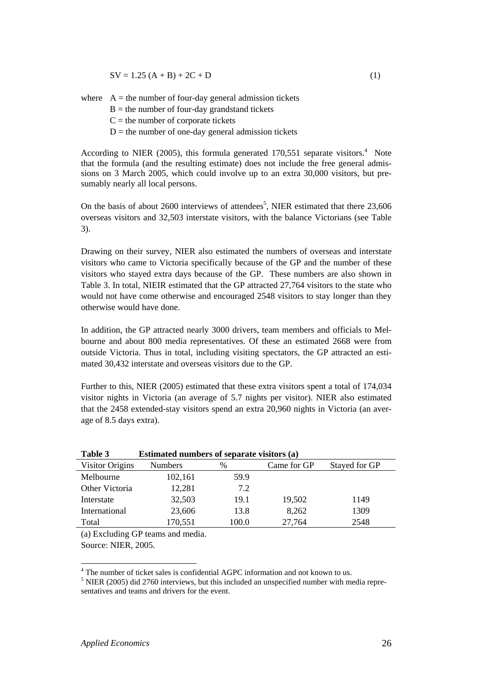$$
SV = 1.25 (A + B) + 2C + D
$$
 (1)

where  $A =$  the number of four-day general admission tickets  $B =$  the number of four-day grandstand tickets  $C =$  the number of corporate tickets  $D =$  the number of one-day general admission tickets

According to NIER (2005), this formula generated  $170,551$  separate visitors.<sup>4</sup> Note that the formula (and the resulting estimate) does not include the free general admissions on 3 March 2005, which could involve up to an extra 30,000 visitors, but presumably nearly all local persons.

On the basis of about 2600 interviews of attendees<sup>5</sup>, NIER estimated that there  $23,606$ overseas visitors and 32,503 interstate visitors, with the balance Victorians (see Table 3).

Drawing on their survey, NIER also estimated the numbers of overseas and interstate visitors who came to Victoria specifically because of the GP and the number of these visitors who stayed extra days because of the GP. These numbers are also shown in Table 3. In total, NIEIR estimated that the GP attracted 27,764 visitors to the state who would not have come otherwise and encouraged 2548 visitors to stay longer than they otherwise would have done.

In addition, the GP attracted nearly 3000 drivers, team members and officials to Melbourne and about 800 media representatives. Of these an estimated 2668 were from outside Victoria. Thus in total, including visiting spectators, the GP attracted an estimated 30,432 interstate and overseas visitors due to the GP.

Further to this, NIER (2005) estimated that these extra visitors spent a total of 174,034 visitor nights in Victoria (an average of 5.7 nights per visitor). NIER also estimated that the 2458 extended-stay visitors spend an extra 20,960 nights in Victoria (an average of 8.5 days extra).

| Table 5<br><b>Estimated numbers of separate visitors (a)</b> |                |       |             |               |  |
|--------------------------------------------------------------|----------------|-------|-------------|---------------|--|
| Visitor Origins                                              | <b>Numbers</b> | %     | Came for GP | Stayed for GP |  |
| Melbourne                                                    | 102,161        | 59.9  |             |               |  |
| Other Victoria                                               | 12,281         | 7.2   |             |               |  |
| Interstate                                                   | 32,503         | 19.1  | 19,502      | 1149          |  |
| International                                                | 23,606         | 13.8  | 8,262       | 1309          |  |
| Total                                                        | 170,551        | 100.0 | 27,764      | 2548          |  |
|                                                              |                |       |             |               |  |

| <b>Table 3</b> | Estimated numbers of separate visitors (a) |  |  |  |
|----------------|--------------------------------------------|--|--|--|
|                |                                            |  |  |  |

(a) Excluding GP teams and media. Source: NIER, 2005.

<sup>4</sup> The number of ticket sales is confidential AGPC information and not known to us.

 $<sup>5</sup>$  NIER (2005) did 2760 interviews, but this included an unspecified number with media repre-</sup> sentatives and teams and drivers for the event.

 $\overline{a}$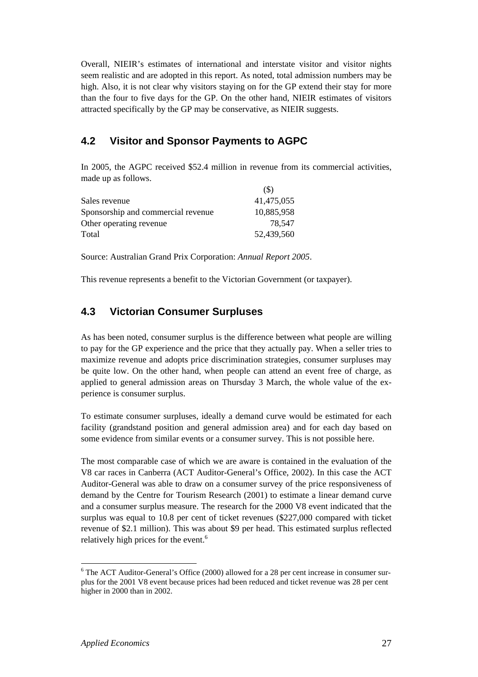Overall, NIEIR's estimates of international and interstate visitor and visitor nights seem realistic and are adopted in this report. As noted, total admission numbers may be high. Also, it is not clear why visitors staying on for the GP extend their stay for more than the four to five days for the GP. On the other hand, NIEIR estimates of visitors attracted specifically by the GP may be conservative, as NIEIR suggests.

### **4.2 Visitor and Sponsor Payments to AGPC**

In 2005, the AGPC received \$52.4 million in revenue from its commercial activities, made up as follows.

|                                    | (S)        |
|------------------------------------|------------|
| Sales revenue                      | 41,475,055 |
| Sponsorship and commercial revenue | 10,885,958 |
| Other operating revenue            | 78.547     |
| Total                              | 52,439,560 |

Source: Australian Grand Prix Corporation: *Annual Report 2005*.

This revenue represents a benefit to the Victorian Government (or taxpayer).

### **4.3 Victorian Consumer Surpluses**

As has been noted, consumer surplus is the difference between what people are willing to pay for the GP experience and the price that they actually pay. When a seller tries to maximize revenue and adopts price discrimination strategies, consumer surpluses may be quite low. On the other hand, when people can attend an event free of charge, as applied to general admission areas on Thursday 3 March, the whole value of the experience is consumer surplus.

To estimate consumer surpluses, ideally a demand curve would be estimated for each facility (grandstand position and general admission area) and for each day based on some evidence from similar events or a consumer survey. This is not possible here.

The most comparable case of which we are aware is contained in the evaluation of the V8 car races in Canberra (ACT Auditor-General's Office, 2002). In this case the ACT Auditor-General was able to draw on a consumer survey of the price responsiveness of demand by the Centre for Tourism Research (2001) to estimate a linear demand curve and a consumer surplus measure. The research for the 2000 V8 event indicated that the surplus was equal to 10.8 per cent of ticket revenues (\$227,000 compared with ticket revenue of \$2.1 million). This was about \$9 per head. This estimated surplus reflected relatively high prices for the event.<sup>6</sup>

 $\overline{a}$ 

<sup>&</sup>lt;sup>6</sup> The ACT Auditor-General's Office (2000) allowed for a 28 per cent increase in consumer surplus for the 2001 V8 event because prices had been reduced and ticket revenue was 28 per cent higher in 2000 than in 2002.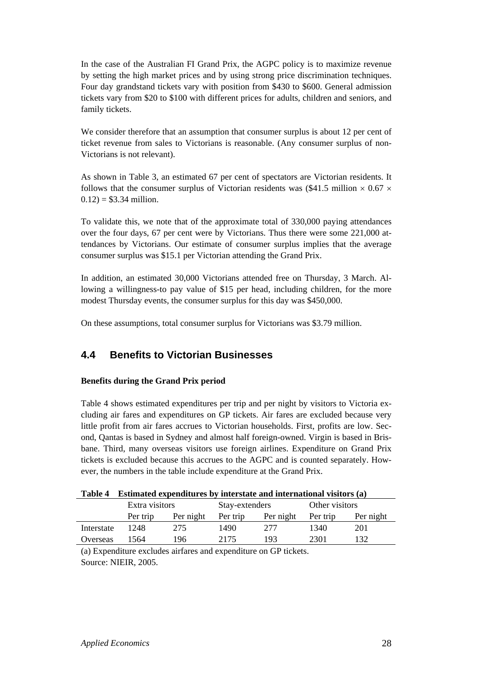In the case of the Australian FI Grand Prix, the AGPC policy is to maximize revenue by setting the high market prices and by using strong price discrimination techniques. Four day grandstand tickets vary with position from \$430 to \$600. General admission tickets vary from \$20 to \$100 with different prices for adults, children and seniors, and family tickets.

We consider therefore that an assumption that consumer surplus is about 12 per cent of ticket revenue from sales to Victorians is reasonable. (Any consumer surplus of non-Victorians is not relevant).

As shown in Table 3, an estimated 67 per cent of spectators are Victorian residents. It follows that the consumer surplus of Victorian residents was (\$41.5 million  $\times$  0.67  $\times$  $0.12$ ) = \$3.34 million.

To validate this, we note that of the approximate total of 330,000 paying attendances over the four days, 67 per cent were by Victorians. Thus there were some 221,000 attendances by Victorians. Our estimate of consumer surplus implies that the average consumer surplus was \$15.1 per Victorian attending the Grand Prix.

In addition, an estimated 30,000 Victorians attended free on Thursday, 3 March. Allowing a willingness-to pay value of \$15 per head, including children, for the more modest Thursday events, the consumer surplus for this day was \$450,000.

On these assumptions, total consumer surplus for Victorians was \$3.79 million.

### **4.4 Benefits to Victorian Businesses**

#### **Benefits during the Grand Prix period**

Table 4 shows estimated expenditures per trip and per night by visitors to Victoria excluding air fares and expenditures on GP tickets. Air fares are excluded because very little profit from air fares accrues to Victorian households. First, profits are low. Second, Qantas is based in Sydney and almost half foreign-owned. Virgin is based in Brisbane. Third, many overseas visitors use foreign airlines. Expenditure on Grand Prix tickets is excluded because this accrues to the AGPC and is counted separately. However, the numbers in the table include expenditure at the Grand Prix.

|  |  |  | Table 4 Estimated expenditures by interstate and international visitors (a) |  |  |
|--|--|--|-----------------------------------------------------------------------------|--|--|
|--|--|--|-----------------------------------------------------------------------------|--|--|

|            | Extra visitors |           | Stay-extenders |           | Other visitors |           |
|------------|----------------|-----------|----------------|-----------|----------------|-----------|
|            | Per trip       | Per night | Per trip       | Per night | Per trip       | Per night |
| Interstate | 1248           | 275       | 1490           | 277       | 1340           | 201       |
| Overseas   | 1564           | 196       | 2175           | 193       | 2301           | 132       |

(a) Expenditure excludes airfares and expenditure on GP tickets. Source: NIEIR, 2005.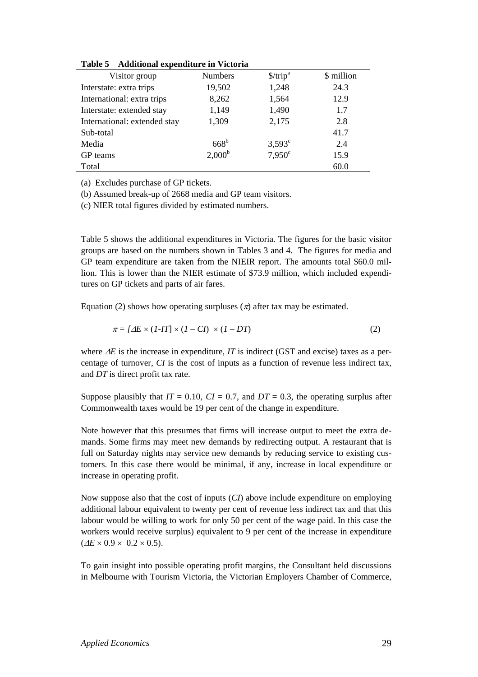| Visitor group                | <b>Numbers</b>  | \$/trip <sup>a</sup> | \$ million |
|------------------------------|-----------------|----------------------|------------|
| Interstate: extra trips      | 19,502          | 1,248                | 24.3       |
| International: extra trips   | 8,262           | 1,564                | 12.9       |
| Interstate: extended stay    | 1,149           | 1,490                | 1.7        |
| International: extended stay | 1,309           | 2,175                | 2.8        |
| Sub-total                    |                 |                      | 41.7       |
| Media                        | $668^{\rm b}$   | $3,593^{\circ}$      | 2.4        |
| GP teams                     | $2,000^{\rm b}$ | $7,950^{\circ}$      | 15.9       |
| Total                        |                 |                      | 60.0       |

**Table 5 Additional expenditure in Victoria** 

(a) Excludes purchase of GP tickets.

(b) Assumed break-up of 2668 media and GP team visitors.

(c) NIER total figures divided by estimated numbers.

Table 5 shows the additional expenditures in Victoria. The figures for the basic visitor groups are based on the numbers shown in Tables 3 and 4. The figures for media and GP team expenditure are taken from the NIEIR report. The amounts total \$60.0 million. This is lower than the NIER estimate of \$73.9 million, which included expenditures on GP tickets and parts of air fares.

Equation (2) shows how operating surpluses ( $\pi$ ) after tax may be estimated.

$$
\pi = [ \Delta E \times (1 - IT] \times (1 - CI) \times (1 - DT) \tag{2}
$$

where ∆*E* is the increase in expenditure, *IT* is indirect (GST and excise) taxes as a percentage of turnover, *CI* is the cost of inputs as a function of revenue less indirect tax, and *DT* is direct profit tax rate.

Suppose plausibly that  $IT = 0.10$ ,  $CI = 0.7$ , and  $DT = 0.3$ , the operating surplus after Commonwealth taxes would be 19 per cent of the change in expenditure.

Note however that this presumes that firms will increase output to meet the extra demands. Some firms may meet new demands by redirecting output. A restaurant that is full on Saturday nights may service new demands by reducing service to existing customers. In this case there would be minimal, if any, increase in local expenditure or increase in operating profit.

Now suppose also that the cost of inputs (*CI*) above include expenditure on employing additional labour equivalent to twenty per cent of revenue less indirect tax and that this labour would be willing to work for only 50 per cent of the wage paid. In this case the workers would receive surplus) equivalent to 9 per cent of the increase in expenditure  $(\Delta E \times 0.9 \times 0.2 \times 0.5)$ .

To gain insight into possible operating profit margins, the Consultant held discussions in Melbourne with Tourism Victoria, the Victorian Employers Chamber of Commerce,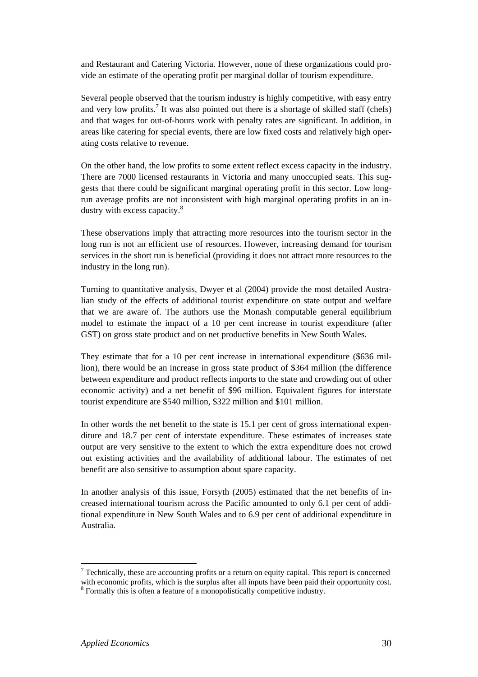and Restaurant and Catering Victoria. However, none of these organizations could provide an estimate of the operating profit per marginal dollar of tourism expenditure.

Several people observed that the tourism industry is highly competitive, with easy entry and very low profits.<sup>7</sup> It was also pointed out there is a shortage of skilled staff (chefs) and that wages for out-of-hours work with penalty rates are significant. In addition, in areas like catering for special events, there are low fixed costs and relatively high operating costs relative to revenue.

On the other hand, the low profits to some extent reflect excess capacity in the industry. There are 7000 licensed restaurants in Victoria and many unoccupied seats. This suggests that there could be significant marginal operating profit in this sector. Low longrun average profits are not inconsistent with high marginal operating profits in an industry with excess capacity.<sup>8</sup>

These observations imply that attracting more resources into the tourism sector in the long run is not an efficient use of resources. However, increasing demand for tourism services in the short run is beneficial (providing it does not attract more resources to the industry in the long run).

Turning to quantitative analysis, Dwyer et al (2004) provide the most detailed Australian study of the effects of additional tourist expenditure on state output and welfare that we are aware of. The authors use the Monash computable general equilibrium model to estimate the impact of a 10 per cent increase in tourist expenditure (after GST) on gross state product and on net productive benefits in New South Wales.

They estimate that for a 10 per cent increase in international expenditure (\$636 million), there would be an increase in gross state product of \$364 million (the difference between expenditure and product reflects imports to the state and crowding out of other economic activity) and a net benefit of \$96 million. Equivalent figures for interstate tourist expenditure are \$540 million, \$322 million and \$101 million.

In other words the net benefit to the state is 15.1 per cent of gross international expenditure and 18.7 per cent of interstate expenditure. These estimates of increases state output are very sensitive to the extent to which the extra expenditure does not crowd out existing activities and the availability of additional labour. The estimates of net benefit are also sensitive to assumption about spare capacity.

In another analysis of this issue, Forsyth (2005) estimated that the net benefits of increased international tourism across the Pacific amounted to only 6.1 per cent of additional expenditure in New South Wales and to 6.9 per cent of additional expenditure in Australia.

 $\overline{a}$ 

 $7$  Technically, these are accounting profits or a return on equity capital. This report is concerned with economic profits, which is the surplus after all inputs have been paid their opportunity cost.<br><sup>8</sup> Formally this is often a feature of a monopolistically competitive industry.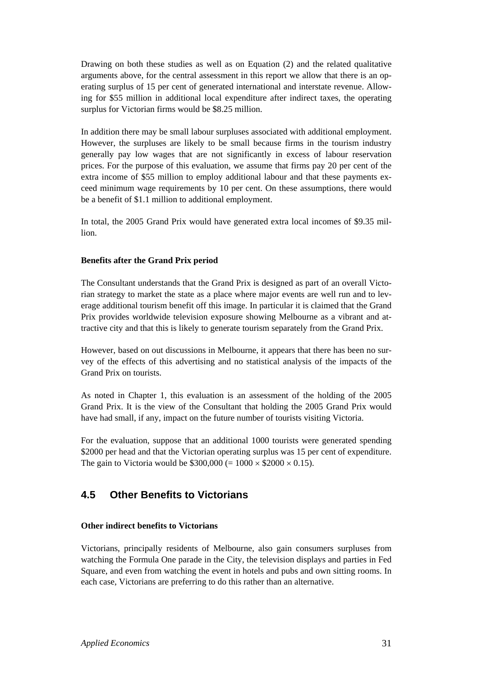Drawing on both these studies as well as on Equation (2) and the related qualitative arguments above, for the central assessment in this report we allow that there is an operating surplus of 15 per cent of generated international and interstate revenue. Allowing for \$55 million in additional local expenditure after indirect taxes, the operating surplus for Victorian firms would be \$8.25 million.

In addition there may be small labour surpluses associated with additional employment. However, the surpluses are likely to be small because firms in the tourism industry generally pay low wages that are not significantly in excess of labour reservation prices. For the purpose of this evaluation, we assume that firms pay 20 per cent of the extra income of \$55 million to employ additional labour and that these payments exceed minimum wage requirements by 10 per cent. On these assumptions, there would be a benefit of \$1.1 million to additional employment.

In total, the 2005 Grand Prix would have generated extra local incomes of \$9.35 million.

#### **Benefits after the Grand Prix period**

The Consultant understands that the Grand Prix is designed as part of an overall Victorian strategy to market the state as a place where major events are well run and to leverage additional tourism benefit off this image. In particular it is claimed that the Grand Prix provides worldwide television exposure showing Melbourne as a vibrant and attractive city and that this is likely to generate tourism separately from the Grand Prix.

However, based on out discussions in Melbourne, it appears that there has been no survey of the effects of this advertising and no statistical analysis of the impacts of the Grand Prix on tourists.

As noted in Chapter 1, this evaluation is an assessment of the holding of the 2005 Grand Prix. It is the view of the Consultant that holding the 2005 Grand Prix would have had small, if any, impact on the future number of tourists visiting Victoria.

For the evaluation, suppose that an additional 1000 tourists were generated spending \$2000 per head and that the Victorian operating surplus was 15 per cent of expenditure. The gain to Victoria would be  $$300,000 (= 1000 \times $2000 \times 0.15)$ .

### **4.5 Other Benefits to Victorians**

#### **Other indirect benefits to Victorians**

Victorians, principally residents of Melbourne, also gain consumers surpluses from watching the Formula One parade in the City, the television displays and parties in Fed Square, and even from watching the event in hotels and pubs and own sitting rooms. In each case, Victorians are preferring to do this rather than an alternative.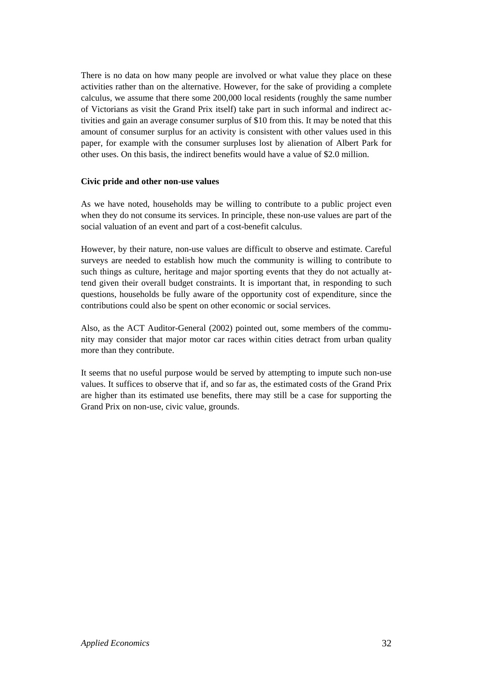There is no data on how many people are involved or what value they place on these activities rather than on the alternative. However, for the sake of providing a complete calculus, we assume that there some 200,000 local residents (roughly the same number of Victorians as visit the Grand Prix itself) take part in such informal and indirect activities and gain an average consumer surplus of \$10 from this. It may be noted that this amount of consumer surplus for an activity is consistent with other values used in this paper, for example with the consumer surpluses lost by alienation of Albert Park for other uses. On this basis, the indirect benefits would have a value of \$2.0 million.

#### **Civic pride and other non-use values**

As we have noted, households may be willing to contribute to a public project even when they do not consume its services. In principle, these non-use values are part of the social valuation of an event and part of a cost-benefit calculus.

However, by their nature, non-use values are difficult to observe and estimate. Careful surveys are needed to establish how much the community is willing to contribute to such things as culture, heritage and major sporting events that they do not actually attend given their overall budget constraints. It is important that, in responding to such questions, households be fully aware of the opportunity cost of expenditure, since the contributions could also be spent on other economic or social services.

Also, as the ACT Auditor-General (2002) pointed out, some members of the community may consider that major motor car races within cities detract from urban quality more than they contribute.

It seems that no useful purpose would be served by attempting to impute such non-use values. It suffices to observe that if, and so far as, the estimated costs of the Grand Prix are higher than its estimated use benefits, there may still be a case for supporting the Grand Prix on non-use, civic value, grounds.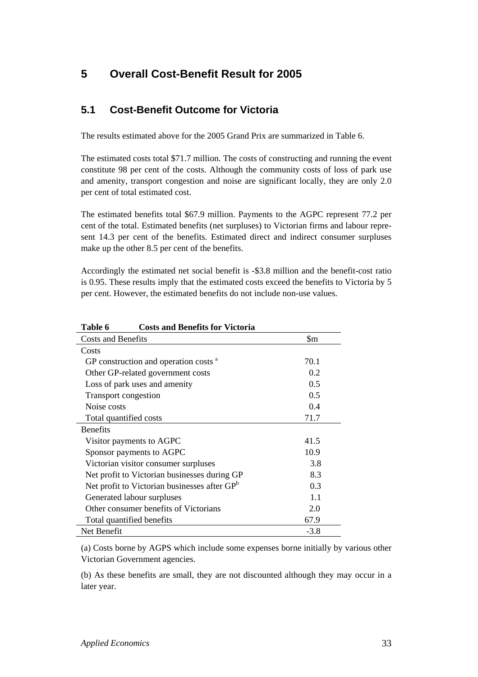# **5 Overall Cost-Benefit Result for 2005**

### **5.1 Cost-Benefit Outcome for Victoria**

The results estimated above for the 2005 Grand Prix are summarized in Table 6.

The estimated costs total \$71.7 million. The costs of constructing and running the event constitute 98 per cent of the costs. Although the community costs of loss of park use and amenity, transport congestion and noise are significant locally, they are only 2.0 per cent of total estimated cost.

The estimated benefits total \$67.9 million. Payments to the AGPC represent 77.2 per cent of the total. Estimated benefits (net surpluses) to Victorian firms and labour represent 14.3 per cent of the benefits. Estimated direct and indirect consumer surpluses make up the other 8.5 per cent of the benefits.

Accordingly the estimated net social benefit is -\$3.8 million and the benefit-cost ratio is 0.95. These results imply that the estimated costs exceed the benefits to Victoria by 5 per cent. However, the estimated benefits do not include non-use values.

| 1 avit v<br>Costs and Denemis for Victoria               |        |
|----------------------------------------------------------|--------|
| <b>Costs and Benefits</b>                                | \$m    |
| Costs                                                    |        |
| GP construction and operation costs <sup>a</sup>         | 70.1   |
| Other GP-related government costs                        | 0.2    |
| Loss of park uses and amenity                            | 0.5    |
| <b>Transport congestion</b>                              | 0.5    |
| Noise costs                                              | 0.4    |
| Total quantified costs                                   | 71.7   |
| <b>Benefits</b>                                          |        |
| Visitor payments to AGPC                                 | 41.5   |
| Sponsor payments to AGPC                                 | 10.9   |
| Victorian visitor consumer surpluses                     | 3.8    |
| Net profit to Victorian businesses during GP             | 8.3    |
| Net profit to Victorian businesses after GP <sup>b</sup> | 0.3    |
| Generated labour surpluses                               | 1.1    |
| Other consumer benefits of Victorians                    | 2.0    |
| Total quantified benefits                                | 67.9   |
| Net Benefit                                              | $-3.8$ |

**Table 6 Costs and Benefits for Victoria** 

(a) Costs borne by AGPS which include some expenses borne initially by various other Victorian Government agencies.

(b) As these benefits are small, they are not discounted although they may occur in a later year.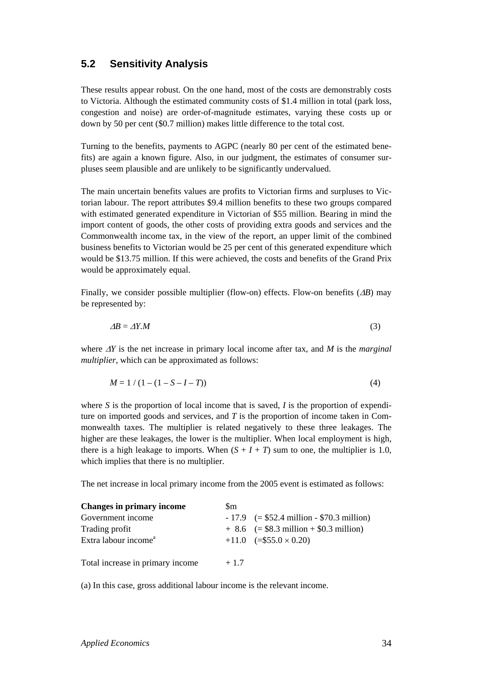### **5.2 Sensitivity Analysis**

These results appear robust. On the one hand, most of the costs are demonstrably costs to Victoria. Although the estimated community costs of \$1.4 million in total (park loss, congestion and noise) are order-of-magnitude estimates, varying these costs up or down by 50 per cent (\$0.7 million) makes little difference to the total cost.

Turning to the benefits, payments to AGPC (nearly 80 per cent of the estimated benefits) are again a known figure. Also, in our judgment, the estimates of consumer surpluses seem plausible and are unlikely to be significantly undervalued.

The main uncertain benefits values are profits to Victorian firms and surpluses to Victorian labour. The report attributes \$9.4 million benefits to these two groups compared with estimated generated expenditure in Victorian of \$55 million. Bearing in mind the import content of goods, the other costs of providing extra goods and services and the Commonwealth income tax, in the view of the report, an upper limit of the combined business benefits to Victorian would be 25 per cent of this generated expenditure which would be \$13.75 million. If this were achieved, the costs and benefits of the Grand Prix would be approximately equal.

Finally, we consider possible multiplier (flow-on) effects. Flow-on benefits (∆*B*) may be represented by:

$$
\Delta B = \Delta Y. M \tag{3}
$$

where ∆*Y* is the net increase in primary local income after tax, and *M* is the *marginal multiplier*, which can be approximated as follows:

$$
M = 1 / (1 - (1 - S - I - T))
$$
 (4)

where *S* is the proportion of local income that is saved, *I* is the proportion of expenditure on imported goods and services, and *T* is the proportion of income taken in Commonwealth taxes. The multiplier is related negatively to these three leakages. The higher are these leakages, the lower is the multiplier. When local employment is high, there is a high leakage to imports. When  $(S + I + T)$  sum to one, the multiplier is 1.0, which implies that there is no multiplier.

The net increase in local primary income from the 2005 event is estimated as follows:

| <b>Changes in primary income</b> | Sm     |                                             |
|----------------------------------|--------|---------------------------------------------|
| Government income                |        | $-17.9$ (= \$52.4 million - \$70.3 million) |
| Trading profit                   |        | $+ 8.6$ (= \$8.3 million + \$0.3 million)   |
| Extra labour income <sup>a</sup> |        | $+11.0$ $(= $55.0 \times 0.20)$             |
| Total increase in primary income | $+1.7$ |                                             |

(a) In this case, gross additional labour income is the relevant income.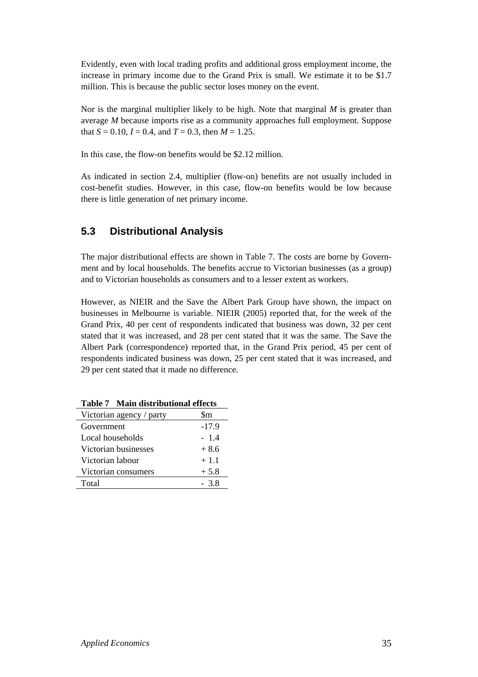Evidently, even with local trading profits and additional gross employment income, the increase in primary income due to the Grand Prix is small. We estimate it to be \$1.7 million. This is because the public sector loses money on the event.

Nor is the marginal multiplier likely to be high. Note that marginal *M* is greater than average *M* because imports rise as a community approaches full employment. Suppose that  $S = 0.10$ ,  $I = 0.4$ , and  $T = 0.3$ , then  $M = 1.25$ .

In this case, the flow-on benefits would be \$2.12 million.

As indicated in section 2.4, multiplier (flow-on) benefits are not usually included in cost-benefit studies. However, in this case, flow-on benefits would be low because there is little generation of net primary income.

### **5.3 Distributional Analysis**

The major distributional effects are shown in Table 7. The costs are borne by Government and by local households. The benefits accrue to Victorian businesses (as a group) and to Victorian households as consumers and to a lesser extent as workers.

However, as NIEIR and the Save the Albert Park Group have shown, the impact on businesses in Melbourne is variable. NIEIR (2005) reported that, for the week of the Grand Prix, 40 per cent of respondents indicated that business was down, 32 per cent stated that it was increased, and 28 per cent stated that it was the same. The Save the Albert Park (correspondence) reported that, in the Grand Prix period, 45 per cent of respondents indicated business was down, 25 per cent stated that it was increased, and 29 per cent stated that it made no difference.

| Victorian agency / party | \$m     |
|--------------------------|---------|
| Government               | $-17.9$ |
| Local households         | $-1.4$  |
| Victorian businesses     | $+8.6$  |
| Victorian labour         | $+1.1$  |
| Victorian consumers      | $+5.8$  |
| Total                    | - 38    |

**Table 7 Main distributional effects**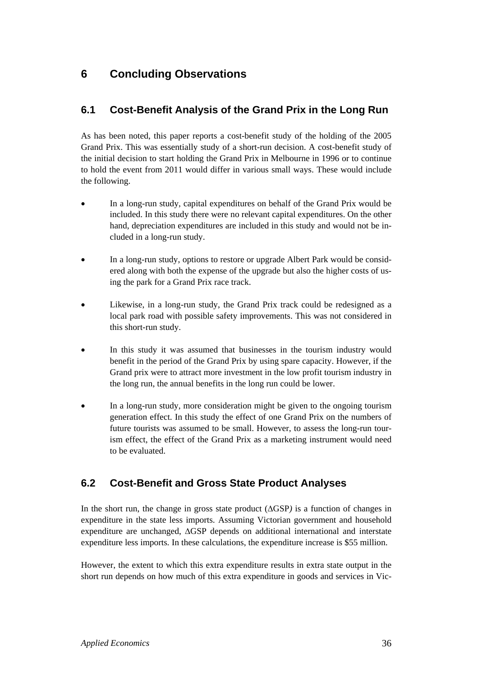# **6 Concluding Observations**

# **6.1 Cost-Benefit Analysis of the Grand Prix in the Long Run**

As has been noted, this paper reports a cost-benefit study of the holding of the 2005 Grand Prix. This was essentially study of a short-run decision. A cost-benefit study of the initial decision to start holding the Grand Prix in Melbourne in 1996 or to continue to hold the event from 2011 would differ in various small ways. These would include the following.

- In a long-run study, capital expenditures on behalf of the Grand Prix would be included. In this study there were no relevant capital expenditures. On the other hand, depreciation expenditures are included in this study and would not be included in a long-run study.
- In a long-run study, options to restore or upgrade Albert Park would be considered along with both the expense of the upgrade but also the higher costs of using the park for a Grand Prix race track.
- Likewise, in a long-run study, the Grand Prix track could be redesigned as a local park road with possible safety improvements. This was not considered in this short-run study.
- In this study it was assumed that businesses in the tourism industry would benefit in the period of the Grand Prix by using spare capacity. However, if the Grand prix were to attract more investment in the low profit tourism industry in the long run, the annual benefits in the long run could be lower.
- In a long-run study, more consideration might be given to the ongoing tourism generation effect. In this study the effect of one Grand Prix on the numbers of future tourists was assumed to be small. However, to assess the long-run tourism effect, the effect of the Grand Prix as a marketing instrument would need to be evaluated.

## **6.2 Cost-Benefit and Gross State Product Analyses**

In the short run, the change in gross state product (∆GSP*)* is a function of changes in expenditure in the state less imports. Assuming Victorian government and household expenditure are unchanged, ∆GSP depends on additional international and interstate expenditure less imports*.* In these calculations, the expenditure increase is \$55 million.

However, the extent to which this extra expenditure results in extra state output in the short run depends on how much of this extra expenditure in goods and services in Vic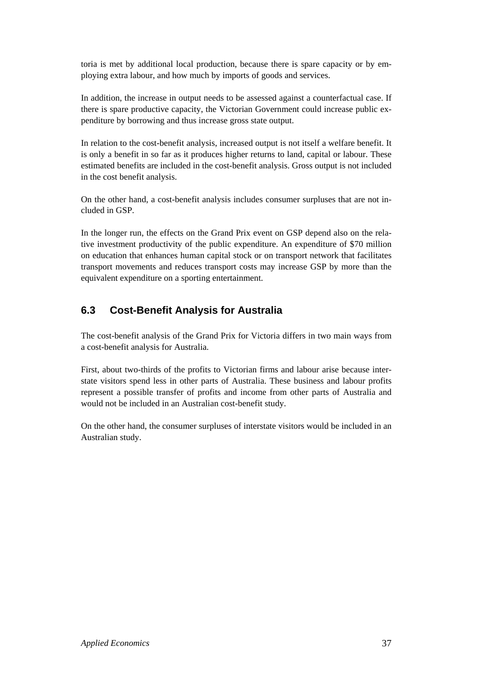toria is met by additional local production, because there is spare capacity or by employing extra labour, and how much by imports of goods and services.

In addition, the increase in output needs to be assessed against a counterfactual case. If there is spare productive capacity, the Victorian Government could increase public expenditure by borrowing and thus increase gross state output.

In relation to the cost-benefit analysis, increased output is not itself a welfare benefit. It is only a benefit in so far as it produces higher returns to land, capital or labour. These estimated benefits are included in the cost-benefit analysis. Gross output is not included in the cost benefit analysis.

On the other hand, a cost-benefit analysis includes consumer surpluses that are not included in GSP.

In the longer run, the effects on the Grand Prix event on GSP depend also on the relative investment productivity of the public expenditure. An expenditure of \$70 million on education that enhances human capital stock or on transport network that facilitates transport movements and reduces transport costs may increase GSP by more than the equivalent expenditure on a sporting entertainment.

## **6.3 Cost-Benefit Analysis for Australia**

The cost-benefit analysis of the Grand Prix for Victoria differs in two main ways from a cost-benefit analysis for Australia.

First, about two-thirds of the profits to Victorian firms and labour arise because interstate visitors spend less in other parts of Australia. These business and labour profits represent a possible transfer of profits and income from other parts of Australia and would not be included in an Australian cost-benefit study.

On the other hand, the consumer surpluses of interstate visitors would be included in an Australian study.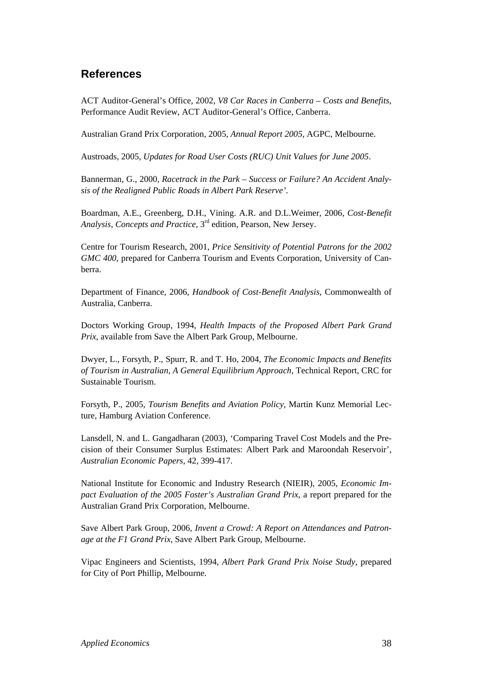# **References**

ACT Auditor-General's Office, 2002, *V8 Car Races in Canberra – Costs and Benefits*, Performance Audit Review, ACT Auditor-General's Office, Canberra.

Australian Grand Prix Corporation, 2005, *Annual Report 2005*, AGPC, Melbourne.

Austroads, 2005, *Updates for Road User Costs (RUC) Unit Values for June 2005*.

Bannerman, G., 2000, *Racetrack in the Park – Success or Failure? An Accident Analysis of the Realigned Public Roads in Albert Park Reserve'*.

Boardman, A.E., Greenberg, D.H., Vining. A.R. and D.L.Weimer, 2006, *Cost-Benefit Analysis, Concepts and Practice*, 3rd edition, Pearson, New Jersey.

Centre for Tourism Research, 2001, *Price Sensitivity of Potential Patrons for the 2002 GMC 400*, prepared for Canberra Tourism and Events Corporation, University of Canberra.

Department of Finance, 2006, *Handbook of Cost-Benefit Analysis*, Commonwealth of Australia, Canberra.

Doctors Working Group, 1994, *Health Impacts of the Proposed Albert Park Grand Prix*, available from Save the Albert Park Group, Melbourne.

Dwyer, L., Forsyth, P., Spurr, R. and T. Ho, 2004, *The Economic Impacts and Benefits of Tourism in Australian, A General Equilibrium Approach*, Technical Report, CRC for Sustainable Tourism.

Forsyth, P., 2005, *Tourism Benefits and Aviation Policy*, Martin Kunz Memorial Lecture, Hamburg Aviation Conference.

Lansdell, N. and L. Gangadharan (2003), 'Comparing Travel Cost Models and the Precision of their Consumer Surplus Estimates: Albert Park and Maroondah Reservoir', *Australian Economic Papers*, 42, 399-417.

National Institute for Economic and Industry Research (NIEIR), 2005, *Economic Impact Evaluation of the 2005 Foster's Australian Grand Prix*, a report prepared for the Australian Grand Prix Corporation, Melbourne.

Save Albert Park Group, 2006, *Invent a Crowd: A Report on Attendances and Patronage at the F1 Grand Prix*, Save Albert Park Group, Melbourne.

Vipac Engineers and Scientists, 1994, *Albert Park Grand Prix Noise Study*, prepared for City of Port Phillip, Melbourne.